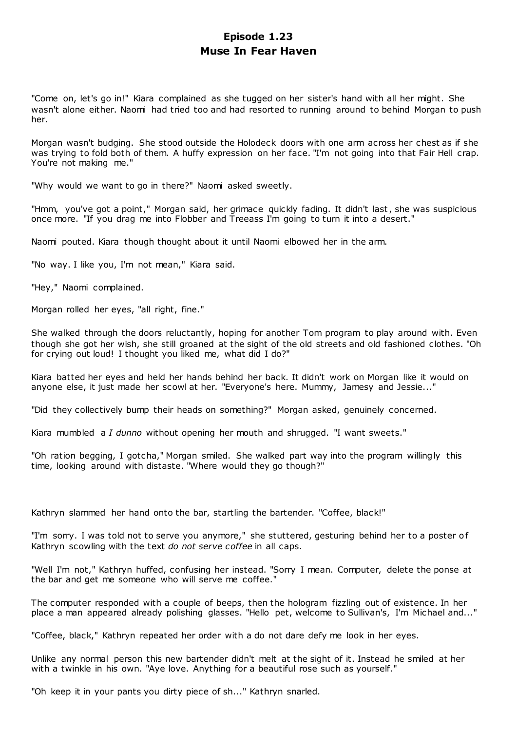# **Episode 1.23 Muse In Fear Haven**

"Come on, let's go in!" Kiara complained as she tugged on her sister's hand with all her might. She wasn't alone either. Naomi had tried too and had resorted to running around to behind Morgan to push her.

Morgan wasn't budging. She stood outside the Holodeck doors with one arm across her chest as if she was trying to fold both of them. A huffy expression on her face. "I'm not going into that Fair Hell crap. You're not making me."

"Why would we want to go in there?" Naomi asked sweetly.

"Hmm, you've got a point," Morgan said, her grimace quickly fading. It didn't last, she was suspicious once more. "If you drag me into Flobber and Treeass I'm going to turn it into a desert."

Naomi pouted. Kiara though thought about it until Naomi elbowed her in the arm.

"No way. I like you, I'm not mean," Kiara said.

"Hey," Naomi complained.

Morgan rolled her eyes, "all right, fine."

She walked through the doors reluctantly, hoping for another Tom program to play around with. Even though she got her wish, she still groaned at the sight of the old streets and old fashioned clothes. "Oh for crying out loud! I thought you liked me, what did I do?"

Kiara batted her eyes and held her hands behind her back. It didn't work on Morgan like it would on anyone else, it just made her scowl at her. "Everyone's here. Mummy, Jamesy and Jessie..."

"Did they collectively bump their heads on something?" Morgan asked, genuinely concerned.

Kiara mumbled a *I dunno* without opening her mouth and shrugged. "I want sweets."

"Oh ration begging, I gotcha," Morgan smiled. She walked part way into the program willingly this time, looking around with distaste. "Where would they go though?"

Kathryn slammed her hand onto the bar, startling the bartender. "Coffee, black!"

"I'm sorry. I was told not to serve you anymore," she stuttered, gesturing behind her to a poster of Kathryn scowling with the text *do not serve coffee* in all caps.

"Well I'm not," Kathryn huffed, confusing her instead. "Sorry I mean. Computer, delete the ponse at the bar and get me someone who will serve me coffee."

The computer responded with a couple of beeps, then the hologram fizzling out of existence. In her place a man appeared already polishing glasses. "Hello pet, welcome to Sullivan's, I'm Michael and..."

"Coffee, black," Kathryn repeated her order with a do not dare defy me look in her eyes.

Unlike any normal person this new bartender didn't melt at the sight of it. Instead he smiled at her with a twinkle in his own. "Aye love. Anything for a beautiful rose such as yourself."

"Oh keep it in your pants you dirty piece of sh..." Kathryn snarled.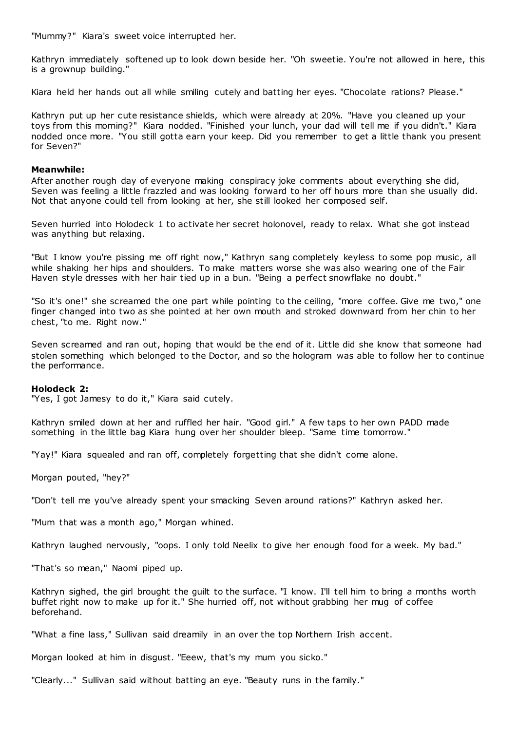"Mummy?" Kiara's sweet voice interrupted her.

Kathryn immediately softened up to look down beside her. "Oh sweetie. You're not allowed in here, this is a grownup building."

Kiara held her hands out all while smiling cutely and batting her eyes. "Chocolate rations? Please."

Kathryn put up her cute resistance shields, which were already at 20%. "Have you cleaned up your toys from this morning?" Kiara nodded. "Finished your lunch, your dad will tell me if you didn't." Kiara nodded once more. "You still gotta earn your keep. Did you remember to get a little thank you present for Seven?"

#### **Meanwhile:**

After another rough day of everyone making conspiracy joke comments about everything she did, Seven was feeling a little frazzled and was looking forward to her off hours more than she usually did. Not that anyone could tell from looking at her, she still looked her composed self.

Seven hurried into Holodeck 1 to activate her secret holonovel, ready to relax. What she got instead was anything but relaxing.

"But I know you're pissing me off right now," Kathryn sang completely keyless to some pop music, all while shaking her hips and shoulders. To make matters worse she was also wearing one of the Fair Haven style dresses with her hair tied up in a bun. "Being a perfect snowflake no doubt."

"So it's one!" she screamed the one part while pointing to the ceiling, "more coffee. Give me two," one finger changed into two as she pointed at her own mouth and stroked downward from her chin to her chest, "to me. Right now."

Seven screamed and ran out, hoping that would be the end of it. Little did she know that someone had stolen something which belonged to the Doctor, and so the hologram was able to follow her to continue the performance.

# **Holodeck 2:**

"Yes, I got Jamesy to do it," Kiara said cutely.

Kathryn smiled down at her and ruffled her hair. "Good girl." A few taps to her own PADD made something in the little bag Kiara hung over her shoulder bleep. "Same time tomorrow."

"Yay!" Kiara squealed and ran off, completely forgetting that she didn't come alone.

Morgan pouted, "hey?"

"Don't tell me you've already spent your smacking Seven around rations?" Kathryn asked her.

"Mum that was a month ago," Morgan whined.

Kathryn laughed nervously, "oops. I only told Neelix to give her enough food for a week. My bad."

"That's so mean," Naomi piped up.

Kathryn sighed, the girl brought the guilt to the surface. "I know. I'll tell him to bring a months worth buffet right now to make up for it." She hurried off, not without grabbing her mug of coffee beforehand.

"What a fine lass," Sullivan said dreamily in an over the top Northern Irish accent.

Morgan looked at him in disgust. "Eeew, that's my mum you sicko."

"Clearly..." Sullivan said without batting an eye. "Beauty runs in the family."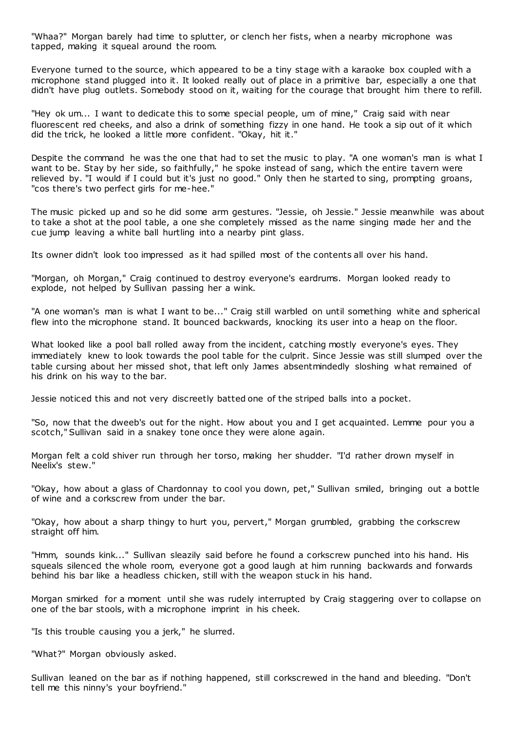"Whaa?" Morgan barely had time to splutter, or clench her fists, when a nearby microphone was tapped, making it squeal around the room.

Everyone turned to the source, which appeared to be a tiny stage with a karaoke box coupled with a microphone stand plugged into it. It looked really out of place in a primitive bar, especially a one that didn't have plug outlets. Somebody stood on it, waiting for the courage that brought him there to refill.

"Hey ok um... I want to dedicate this to some special people, um of mine," Craig said with near fluorescent red cheeks, and also a drink of something fizzy in one hand. He took a sip out of it which did the trick, he looked a little more confident. "Okay, hit it."

Despite the command he was the one that had to set the music to play. "A one woman's man is what I want to be. Stay by her side, so faithfully," he spoke instead of sang, which the entire tavern were relieved by. "I would if I could but it's just no good." Only then he started to sing, prompting groans, "cos there's two perfect girls for me-hee."

The music picked up and so he did some arm gestures. "Jessie, oh Jessie." Jessie meanwhile was about to take a shot at the pool table, a one she completely missed as the name singing made her and the cue jump leaving a white ball hurtling into a nearby pint glass.

Its owner didn't look too impressed as it had spilled most of the contents all over his hand.

"Morgan, oh Morgan," Craig continued to destroy everyone's eardrums. Morgan looked ready to explode, not helped by Sullivan passing her a wink.

"A one woman's man is what I want to be..." Craig still warbled on until something white and spherical flew into the microphone stand. It bounced backwards, knocking its user into a heap on the floor.

What looked like a pool ball rolled away from the incident, catching mostly everyone's eyes. They immediately knew to look towards the pool table for the culprit. Since Jessie was still slumped over the table cursing about her missed shot, that left only James absentmindedly sloshing w hat remained of his drink on his way to the bar.

Jessie noticed this and not very discreetly batted one of the striped balls into a pocket.

"So, now that the dweeb's out for the night. How about you and I get acquainted. Lemme pour you a scotch," Sullivan said in a snakey tone once they were alone again.

Morgan felt a cold shiver run through her torso, making her shudder. "I'd rather drown myself in Neelix's stew."

"Okay, how about a glass of Chardonnay to cool you down, pet," Sullivan smiled, bringing out a bottle of wine and a corkscrew from under the bar.

"Okay, how about a sharp thingy to hurt you, pervert," Morgan grumbled, grabbing the corkscrew straight off him.

"Hmm, sounds kink..." Sullivan sleazily said before he found a corkscrew punched into his hand. His squeals silenced the whole room, everyone got a good laugh at him running backwards and forwards behind his bar like a headless chicken, still with the weapon stuck in his hand.

Morgan smirked for a moment until she was rudely interrupted by Craig staggering over to collapse on one of the bar stools, with a microphone imprint in his cheek.

"Is this trouble causing you a jerk," he slurred.

"What?" Morgan obviously asked.

Sullivan leaned on the bar as if nothing happened, still corkscrewed in the hand and bleeding. "Don't tell me this ninny's your boyfriend."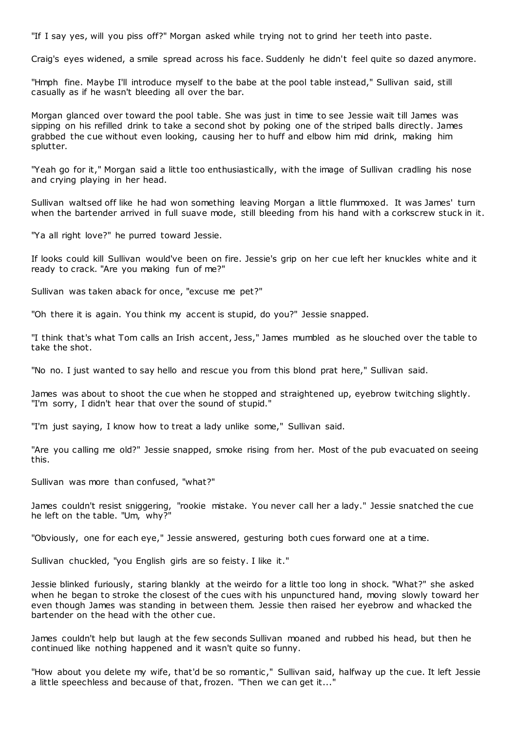"If I say yes, will you piss off?" Morgan asked while trying not to grind her teeth into paste.

Craig's eyes widened, a smile spread across his face. Suddenly he didn't feel quite so dazed anymore.

"Hmph fine. Maybe I'll introduce myself to the babe at the pool table instead," Sullivan said, still casually as if he wasn't bleeding all over the bar.

Morgan glanced over toward the pool table. She was just in time to see Jessie wait till James was sipping on his refilled drink to take a second shot by poking one of the striped balls directly. James grabbed the cue without even looking, causing her to huff and elbow him mid drink, making him splutter.

"Yeah go for it," Morgan said a little too enthusiastically, with the image of Sullivan cradling his nose and crying playing in her head.

Sullivan waltsed off like he had won something leaving Morgan a little flummoxed. It was James' turn when the bartender arrived in full suave mode, still bleeding from his hand with a corkscrew stuck in it.

"Ya all right love?" he purred toward Jessie.

If looks could kill Sullivan would've been on fire. Jessie's grip on her cue left her knuckles white and it ready to crack. "Are you making fun of me?"

Sullivan was taken aback for once, "excuse me pet?"

"Oh there it is again. You think my accent is stupid, do you?" Jessie snapped.

"I think that's what Tom calls an Irish accent, Jess," James mumbled as he slouched over the table to take the shot.

"No no. I just wanted to say hello and rescue you from this blond prat here," Sullivan said.

James was about to shoot the cue when he stopped and straightened up, eyebrow twitching slightly. "I'm sorry, I didn't hear that over the sound of stupid."

"I'm just saying, I know how to treat a lady unlike some," Sullivan said.

"Are you calling me old?" Jessie snapped, smoke rising from her. Most of the pub evacuated on seeing this.

Sullivan was more than confused, "what?"

James couldn't resist sniggering, "rookie mistake. You never call her a lady." Jessie snatched the cue he left on the table. "Um, why?"

"Obviously, one for each eye," Jessie answered, gesturing both cues forward one at a time.

Sullivan chuckled, "you English girls are so feisty. I like it."

Jessie blinked furiously, staring blankly at the weirdo for a little too long in shock. "What?" she asked when he began to stroke the closest of the cues with his unpunctured hand, moving slowly toward her even though James was standing in between them. Jessie then raised her eyebrow and whacked the bartender on the head with the other cue.

James couldn't help but laugh at the few seconds Sullivan moaned and rubbed his head, but then he continued like nothing happened and it wasn't quite so funny.

"How about you delete my wife, that'd be so romantic ," Sullivan said, halfway up the cue. It left Jessie a little speechless and because of that, frozen. "Then we can get it..."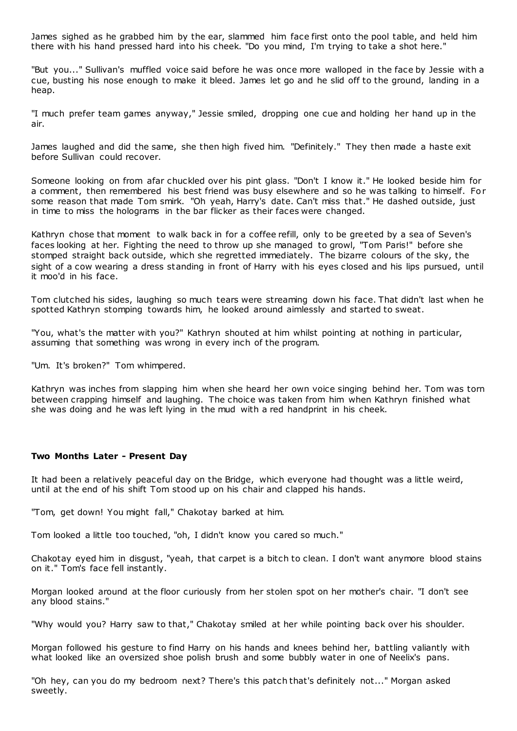James sighed as he grabbed him by the ear, slammed him face first onto the pool table, and held him there with his hand pressed hard into his cheek. "Do you mind, I'm trying to take a shot here."

"But you..." Sullivan's muffled voice said before he was once more walloped in the face by Jessie with a cue, busting his nose enough to make it bleed. James let go and he slid off to the ground, landing in a heap.

"I much prefer team games anyway," Jessie smiled, dropping one cue and holding her hand up in the air.

James laughed and did the same, she then high fived him. "Definitely." They then made a haste exit before Sullivan could recover.

Someone looking on from afar chuckled over his pint glass. "Don't I know it." He looked beside him for a comment, then remembered his best friend was busy elsewhere and so he was talking to himself. For some reason that made Tom smirk. "Oh yeah, Harry's date. Can't miss that." He dashed outside, just in time to miss the holograms in the bar flicker as their faces were changed.

Kathryn chose that moment to walk back in for a coffee refill, only to be greeted by a sea of Seven's faces looking at her. Fighting the need to throw up she managed to growl, "Tom Paris!" before she stomped straight back outside, which she regretted immediately. The bizarre colours of the sky, the sight of a cow wearing a dress standing in front of Harry with his eyes closed and his lips pursued, until it moo'd in his face.

Tom clutched his sides, laughing so much tears were streaming down his face. That didn't last when he spotted Kathryn stomping towards him, he looked around aimlessly and started to sweat.

"You, what's the matter with you?" Kathryn shouted at him whilst pointing at nothing in particular, assuming that something was wrong in every inch of the program.

"Um. It's broken?" Tom whimpered.

Kathryn was inches from slapping him when she heard her own voice singing behind her. Tom was torn between crapping himself and laughing. The choice was taken from him when Kathryn finished what she was doing and he was left lying in the mud with a red handprint in his cheek.

# **Two Months Later - Present Day**

It had been a relatively peaceful day on the Bridge, which everyone had thought was a little weird, until at the end of his shift Tom stood up on his chair and clapped his hands.

"Tom, get down! You might fall," Chakotay barked at him.

Tom looked a little too touched, "oh, I didn't know you cared so much."

Chakotay eyed him in disgust, "yeah, that carpet is a bitch to clean. I don't want anymore blood stains on it." Tom's face fell instantly.

Morgan looked around at the floor curiously from her stolen spot on her mother's chair. "I don't see any blood stains."

"Why would you? Harry saw to that," Chakotay smiled at her while pointing back over his shoulder.

Morgan followed his gesture to find Harry on his hands and knees behind her, battling valiantly with what looked like an oversized shoe polish brush and some bubbly water in one of Neelix's pans.

"Oh hey, can you do my bedroom next? There's this patch that's definitely not..." Morgan asked sweetly.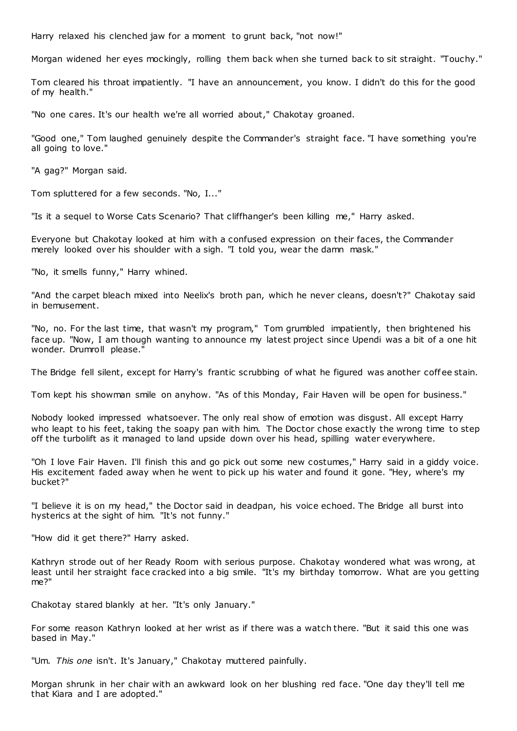Harry relaxed his clenched jaw for a moment to grunt back, "not now!"

Morgan widened her eyes mockingly, rolling them back when she turned back to sit straight. "Touchy."

Tom cleared his throat impatiently. "I have an announcement, you know. I didn't do this for the good of my health."

"No one cares. It's our health we're all worried about," Chakotay groaned.

"Good one," Tom laughed genuinely despite the Commander's straight face. "I have something you're all going to love."

"A gag?" Morgan said.

Tom spluttered for a few seconds. "No, I..."

"Is it a sequel to Worse Cats Scenario? That cliffhanger's been killing me," Harry asked.

Everyone but Chakotay looked at him with a confused expression on their faces, the Commander merely looked over his shoulder with a sigh. "I told you, wear the damn mask."

"No, it smells funny," Harry whined.

"And the carpet bleach mixed into Neelix's broth pan, which he never cleans, doesn't?" Chakotay said in bemusement.

"No, no. For the last time, that wasn't my program," Tom grumbled impatiently, then brightened his face up. "Now, I am though wanting to announce my latest project since Upendi was a bit of a one hit wonder. Drumroll please."

The Bridge fell silent, except for Harry's frantic scrubbing of what he figured was another coff ee stain.

Tom kept his showman smile on anyhow. "As of this Monday, Fair Haven will be open for business."

Nobody looked impressed whatsoever. The only real show of emotion was disgust. All except Harry who leapt to his feet, taking the soapy pan with him. The Doctor chose exactly the wrong time to step off the turbolift as it managed to land upside down over his head, spilling water everywhere.

"Oh I love Fair Haven. I'll finish this and go pick out some new costumes," Harry said in a giddy voice. His excitement faded away when he went to pick up his water and found it gone. "Hey, where's my bucket?"

"I believe it is on my head," the Doctor said in deadpan, his voice echoed. The Bridge all burst into hysterics at the sight of him. "It's not funny."

"How did it get there?" Harry asked.

Kathryn strode out of her Ready Room with serious purpose. Chakotay wondered what was wrong, at least until her straight face cracked into a big smile. "It's my birthday tomorrow. What are you getting me?"

Chakotay stared blankly at her. "It's only January."

For some reason Kathryn looked at her wrist as if there was a watch there. "But it said this one was based in May."

"Um. *This one* isn't. It's January," Chakotay muttered painfully.

Morgan shrunk in her chair with an awkward look on her blushing red face. "One day they'll tell me that Kiara and I are adopted."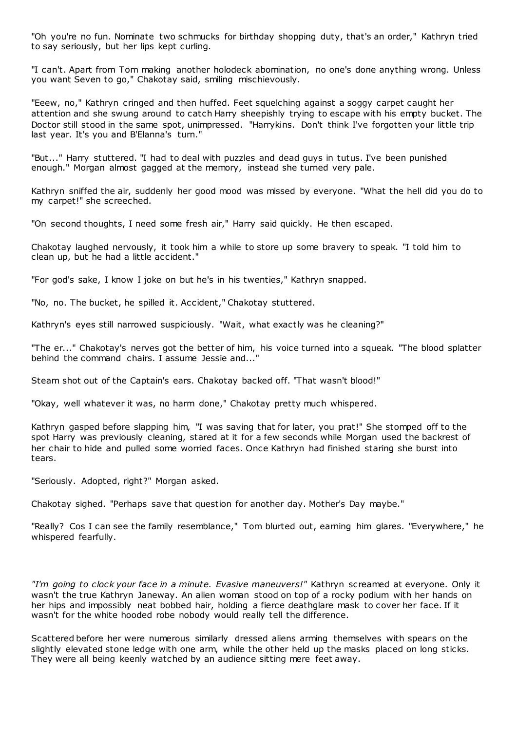"Oh you're no fun. Nominate two schmucks for birthday shopping duty, that's an order," Kathryn tried to say seriously, but her lips kept curling.

"I can't. Apart from Tom making another holodeck abomination, no one's done anything wrong. Unless you want Seven to go," Chakotay said, smiling mischievously.

"Eeew, no," Kathryn cringed and then huffed. Feet squelching against a soggy carpet caught her attention and she swung around to catch Harry sheepishly trying to escape with his empty bucket. The Doctor still stood in the same spot, unimpressed. "Harrykins. Don't think I've forgotten your little trip last year. It's you and B'Elanna's turn."

"But..." Harry stuttered. "I had to deal with puzzles and dead guys in tutus. I've been punished enough." Morgan almost gagged at the memory, instead she turned very pale.

Kathryn sniffed the air, suddenly her good mood was missed by everyone. "What the hell did you do to my carpet!" she screeched.

"On second thoughts, I need some fresh air," Harry said quickly. He then escaped.

Chakotay laughed nervously, it took him a while to store up some bravery to speak. "I told him to clean up, but he had a little accident."

"For god's sake, I know I joke on but he's in his twenties," Kathryn snapped.

"No, no. The bucket, he spilled it. Accident," Chakotay stuttered.

Kathryn's eyes still narrowed suspiciously. "Wait, what exactly was he cleaning?"

"The er..." Chakotay's nerves got the better of him, his voice turned into a squeak. "The blood splatter behind the command chairs. I assume Jessie and..."

Steam shot out of the Captain's ears. Chakotay backed off. "That wasn't blood!"

"Okay, well whatever it was, no harm done," Chakotay pretty much whispered.

Kathryn gasped before slapping him, "I was saving that for later, you prat!" She stomped off to the spot Harry was previously cleaning, stared at it for a few seconds while Morgan used the backrest of her chair to hide and pulled some worried faces. Once Kathryn had finished staring she burst into tears.

"Seriously. Adopted, right?" Morgan asked.

Chakotay sighed. "Perhaps save that question for another day. Mother's Day maybe."

"Really? Cos I can see the family resemblance," Tom blurted out, earning him glares. "Everywhere," he whispered fearfully.

*"I'm going to clock your face in a minute. Evasive maneuvers!"* Kathryn screamed at everyone. Only it wasn't the true Kathryn Janeway. An alien woman stood on top of a rocky podium with her hands on her hips and impossibly neat bobbed hair, holding a fierce deathglare mask to cover her face. If it wasn't for the white hooded robe nobody would really tell the difference.

Scattered before her were numerous similarly dressed aliens arming themselves with spears on the slightly elevated stone ledge with one arm, while the other held up the masks placed on long sticks. They were all being keenly watched by an audience sitting mere feet away.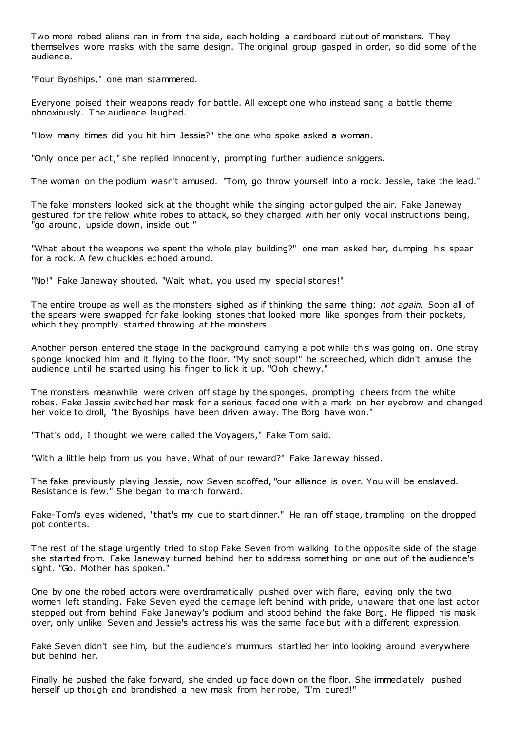Two more robed aliens ran in from the side, each holding a cardboard cut out of monsters. They themselves wore masks with the same design. The original group gasped in order, so did some of the audience.

"Four Byoships," one man stammered.

Everyone poised their weapons ready for battle. All except one who instead sang a battle theme obnoxiously. The audience laughed.

"How many times did you hit him Jessie?" the one who spoke asked a woman.

"Only once per act," she replied innocently, prompting further audience sniggers.

The woman on the podium wasn't amused. "Tom, go throw yourself into a rock. Jessie, take the lead."

The fake monsters looked sick at the thought while the singing actor gulped the air. Fake Janeway gestured for the fellow white robes to attack, so they charged with her only vocal instructions being, "go around, upside down, inside out!"

"What about the weapons we spent the whole play building?" one man asked her, dumping his spear for a rock. A few chuckles echoed around.

"No!" Fake Janeway shouted. "Wait what, you used my special stones!"

The entire troupe as well as the monsters sighed as if thinking the same thing; *not again.* Soon all of the spears were swapped for fake looking stones that looked more like sponges from their pockets, which they promptly started throwing at the monsters.

Another person entered the stage in the background carrying a pot while this was going on. One stray sponge knocked him and it flying to the floor. "My snot soup!" he screeched, which didn't amuse the audience until he started using his finger to lick it up. "Ooh chewy."

The monsters meanwhile were driven off stage by the sponges, prompting cheers from the white robes. Fake Jessie switched her mask for a serious faced one with a mark on her eyebrow and changed her voice to droll, "the Byoships have been driven away. The Borg have won."

"That's odd, I thought we were called the Voyagers," Fake Tom said.

"With a little help from us you have. What of our reward?" Fake Janeway hissed.

The fake previously playing Jessie, now Seven scoffed, "our alliance is over. You w ill be enslaved. Resistance is few." She began to march forward.

Fake-Tom's eyes widened, "that's my cue to start dinner." He ran off stage, trampling on the dropped pot contents.

The rest of the stage urgently tried to stop Fake Seven from walking to the opposite side of the stage she started from. Fake Janeway turned behind her to address something or one out of the audience's sight. "Go. Mother has spoken."

One by one the robed actors were overdramatically pushed over with flare, leaving only the two women left standing. Fake Seven eyed the carnage left behind with pride, unaware that one last actor stepped out from behind Fake Janeway's podium and stood behind the fake Borg. He flipped his mask over, only unlike Seven and Jessie's actress his was the same face but with a different expression.

Fake Seven didn't see him, but the audience's murmurs startled her into looking around everywhere but behind her.

Finally he pushed the fake forward, she ended up face down on the floor. She immediately pushed herself up though and brandished a new mask from her robe, "I'm cured!"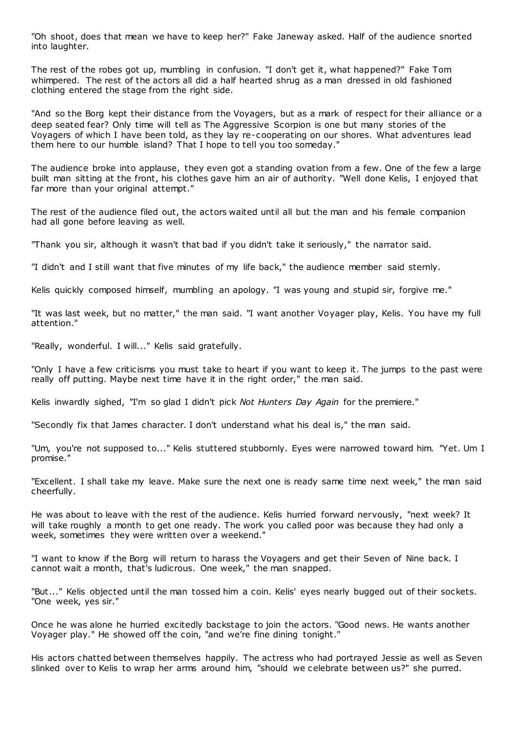"Oh shoot, does that mean we have to keep her?" Fake Janeway asked. Half of the audience snorted into laughter.

The rest of the robes got up, mumbling in confusion. "I don't get it, what happened?" Fake Tom whimpered. The rest of the actors all did a half hearted shrug as a man dressed in old fashioned clothing entered the stage from the right side.

"And so the Borg kept their distance from the Voyagers, but as a mark of respect for their alliance or a deep seated fear? Only time will tell as The Aggressive Scorpion is one but many stories of the Voyagers of which I have been told, as they lay re-cooperating on our shores. What adventures lead them here to our humble island? That I hope to tell you too someday."

The audience broke into applause, they even got a standing ovation from a few. One of the few a large built man sitting at the front, his clothes gave him an air of authority. "Well done Kelis, I enjoyed that far more than your original attempt."

The rest of the audience filed out, the actors waited until all but the man and his female companion had all gone before leaving as well.

"Thank you sir, although it wasn't that bad if you didn't take it seriously," the narrator said.

"I didn't and I still want that five minutes of my life back," the audience member said sternly.

Kelis quickly composed himself, mumbling an apology. "I was young and stupid sir, forgive me."

"It was last week, but no matter," the man said. "I want another Voyager play, Kelis. You have my full attention."

"Really, wonderful. I will..." Kelis said gratefully.

"Only I have a few criticisms you must take to heart if you want to keep it. The jumps to the past were really off putting. Maybe next time have it in the right order," the man said.

Kelis inwardly sighed, "I'm so glad I didn't pick *Not Hunters Day Again* for the premiere."

"Secondly fix that James character. I don't understand what his deal is," the man said.

"Um, you're not supposed to..." Kelis stuttered stubbornly. Eyes were narrowed toward him. "Yet. Um I promise."

"Excellent. I shall take my leave. Make sure the next one is ready same time next week," the man said cheerfully.

He was about to leave with the rest of the audience. Kelis hurried forward nervously, "next week? It will take roughly a month to get one ready. The work you called poor was because they had only a week, sometimes they were written over a weekend."

"I want to know if the Borg will return to harass the Voyagers and get their Seven of Nine back. I cannot wait a month, that's ludicrous. One week," the man snapped.

"But..." Kelis objected until the man tossed him a coin. Kelis' eyes nearly bugged out of their sockets. "One week, yes sir."

Once he was alone he hurried excitedly backstage to join the actors. "Good news. He wants another Voyager play." He showed off the coin, "and we're fine dining tonight."

His actors chatted between themselves happily. The actress who had portrayed Jessie as well as Seven slinked over to Kelis to wrap her arms around him, "should we celebrate between us?" she purred.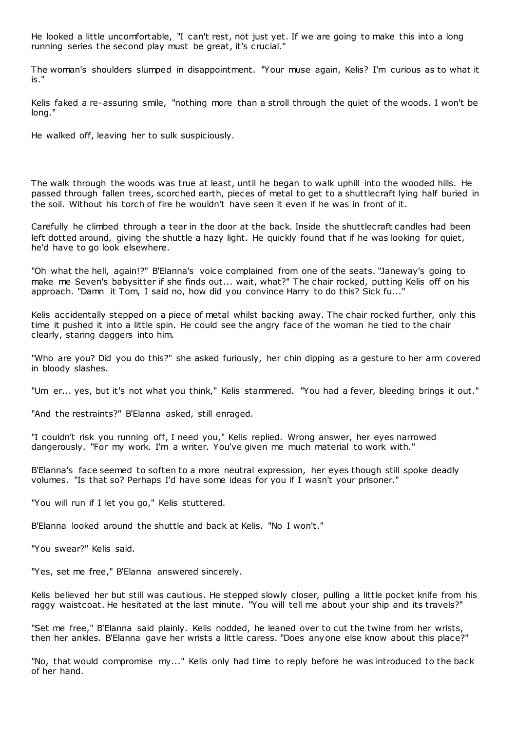He looked a little uncomfortable, "I can't rest, not just yet. If we are going to make this into a long running series the second play must be great, it's crucial."

The woman's shoulders slumped in disappointment. "Your muse again, Kelis? I'm curious as to what it is."

Kelis faked a re-assuring smile, "nothing more than a stroll through the quiet of the woods. I won't be long."

He walked off, leaving her to sulk suspiciously.

The walk through the woods was true at least, until he began to walk uphill into the wooded hills. He passed through fallen trees, scorched earth, pieces of metal to get to a shuttlecraft lying half buried in the soil. Without his torch of fire he wouldn't have seen it even if he was in front of it.

Carefully he climbed through a tear in the door at the back. Inside the shuttlecraft candles had been left dotted around, giving the shuttle a hazy light. He quickly found that if he was looking for quiet, he'd have to go look elsewhere.

"Oh what the hell, again!?" B'Elanna's voice complained from one of the seats. "Janeway's going to make me Seven's babysitter if she finds out... wait, what?" The chair rocked, putting Kelis off on his approach. "Damn it Tom, I said no, how did you convince Harry to do this? Sick fu..."

Kelis accidentally stepped on a piece of metal whilst backing away. The chair rocked further, only this time it pushed it into a little spin. He could see the angry face of the woman he tied to the chair clearly, staring daggers into him.

"Who are you? Did you do this?" she asked furiously, her chin dipping as a gesture to her arm covered in bloody slashes.

"Um er... yes, but it's not what you think," Kelis stammered. "You had a fever, bleeding brings it out."

"And the restraints?" B'Elanna asked, still enraged.

"I couldn't risk you running off, I need you," Kelis replied. Wrong answer, her eyes narrowed dangerously. "For my work. I'm a writer. You've given me much material to work with."

B'Elanna's face seemed to soften to a more neutral expression, her eyes though still spoke deadly volumes. "Is that so? Perhaps I'd have some ideas for you if I wasn't your prisoner."

"You will run if I let you go," Kelis stuttered.

B'Elanna looked around the shuttle and back at Kelis. "No I won't."

"You swear?" Kelis said.

"Yes, set me free," B'Elanna answered sincerely.

Kelis believed her but still was cautious. He stepped slowly closer, pulling a little pocket knife from his raggy waistcoat. He hesitated at the last minute. "You will tell me about your ship and its travels?"

"Set me free," B'Elanna said plainly. Kelis nodded, he leaned over to cut the twine from her wrists, then her ankles. B'Elanna gave her wrists a little caress. "Does anyone else know about this place?"

"No, that would compromise my..." Kelis only had time to reply before he was introduced to the back of her hand.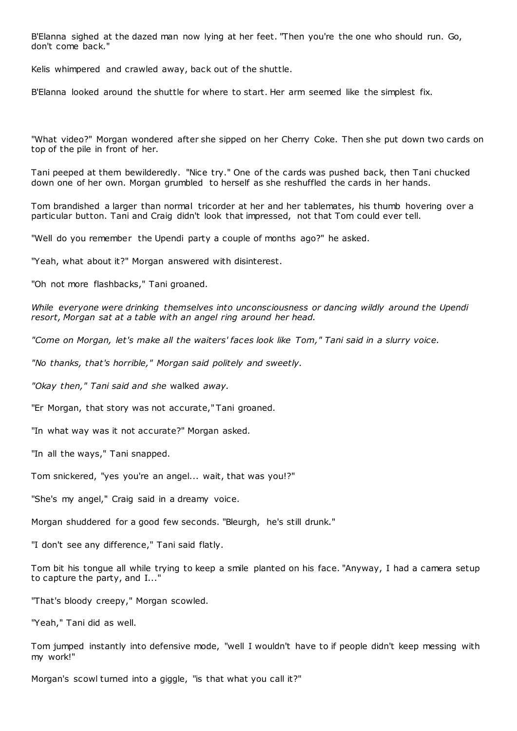B'Elanna sighed at the dazed man now lying at her feet. "Then you're the one who should run. Go, don't come back."

Kelis whimpered and crawled away, back out of the shuttle.

B'Elanna looked around the shuttle for where to start. Her arm seemed like the simplest fix.

"What video?" Morgan wondered after she sipped on her Cherry Coke. Then she put down two cards on top of the pile in front of her.

Tani peeped at them bewilderedly. "Nice try." One of the cards was pushed back, then Tani chucked down one of her own. Morgan grumbled to herself as she reshuffled the cards in her hands.

Tom brandished a larger than normal tricorder at her and her tablemates, his thumb hovering over a particular button. Tani and Craig didn't look that impressed, not that Tom could ever tell.

"Well do you remember the Upendi party a couple of months ago?" he asked.

"Yeah, what about it?" Morgan answered with disinterest.

"Oh not more flashbacks," Tani groaned.

*While everyone were drinking themselves into unconsciousness or dancing wildly around the Upendi resort, Morgan sat at a table with an angel ring around her head.*

*"Come on Morgan, let's make all the waiters' faces look like Tom," Tani said in a slurry voice.*

*"No thanks, that's horrible," Morgan said politely and sweetly.*

*"Okay then," Tani said and she* walked *away.*

"Er Morgan, that story was not accurate," Tani groaned.

"In what way was it not accurate?" Morgan asked.

"In all the ways," Tani snapped.

Tom snickered, "yes you're an angel... wait, that was you!?"

"She's my angel," Craig said in a dreamy voice.

Morgan shuddered for a good few seconds. "Bleurgh, he's still drunk."

"I don't see any difference," Tani said flatly.

Tom bit his tongue all while trying to keep a smile planted on his face. "Anyway, I had a camera setup to capture the party, and I..."

"That's bloody creepy," Morgan scowled.

"Yeah," Tani did as well.

Tom jumped instantly into defensive mode, "well I wouldn't have to if people didn't keep messing with my work!"

Morgan's scowl turned into a giggle, "is that what you call it?"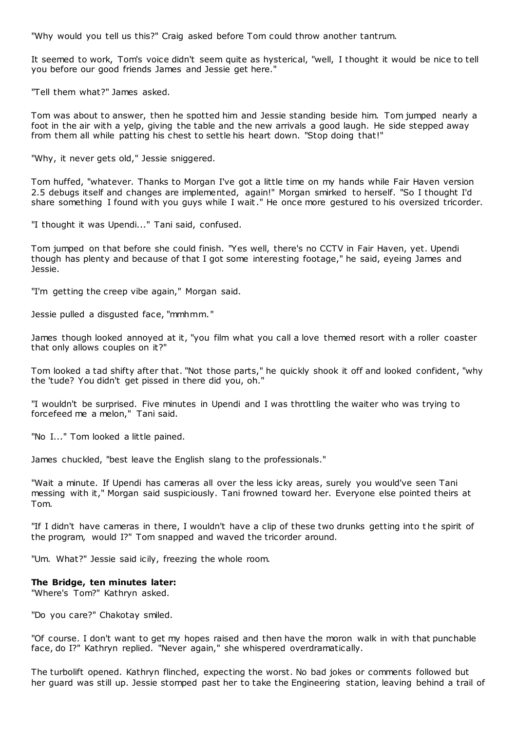"Why would you tell us this?" Craig asked before Tom could throw another tantrum.

It seemed to work, Tom's voice didn't seem quite as hysterical, "well, I thought it would be nice to tell you before our good friends James and Jessie get here."

"Tell them what?" James asked.

Tom was about to answer, then he spotted him and Jessie standing beside him. Tom jumped nearly a foot in the air with a yelp, giving the table and the new arrivals a good laugh. He side stepped away from them all while patting his chest to settle his heart down. "Stop doing that!"

"Why, it never gets old," Jessie sniggered.

Tom huffed, "whatever. Thanks to Morgan I've got a little time on my hands while Fair Haven version 2.5 debugs itself and changes are implemented, again!" Morgan smirked to herself. "So I thought I'd share something I found with you guys while I wait." He once more gestured to his oversized tricorder.

"I thought it was Upendi..." Tani said, confused.

Tom jumped on that before she could finish. "Yes well, there's no CCTV in Fair Haven, yet. Upendi though has plenty and because of that I got some interesting footage," he said, eyeing James and Jessie.

"I'm getting the creep vibe again," Morgan said.

Jessie pulled a disgusted face, "mmhmm."

James though looked annoyed at it, "you film what you call a love themed resort with a roller coaster that only allows couples on it?"

Tom looked a tad shifty after that. "Not those parts," he quickly shook it off and looked confident, "why the 'tude? You didn't get pissed in there did you, oh."

"I wouldn't be surprised. Five minutes in Upendi and I was throttling the waiter who was trying to forcefeed me a melon," Tani said.

"No I..." Tom looked a little pained.

James chuckled, "best leave the English slang to the professionals."

"Wait a minute. If Upendi has cameras all over the less icky areas, surely you would've seen Tani messing with it," Morgan said suspiciously. Tani frowned toward her. Everyone else pointed theirs at Tom.

"If I didn't have cameras in there, I wouldn't have a clip of these two drunks getting into t he spirit of the program, would I?" Tom snapped and waved the tricorder around.

"Um. What?" Jessie said icily, freezing the whole room.

#### **The Bridge, ten minutes later:**

"Where's Tom?" Kathryn asked.

"Do you care?" Chakotay smiled.

"Of course. I don't want to get my hopes raised and then have the moron walk in with that punchable face, do I?" Kathryn replied. "Never again," she whispered overdramatically.

The turbolift opened. Kathryn flinched, expecting the worst. No bad jokes or comments followed but her guard was still up. Jessie stomped past her to take the Engineering station, leaving behind a trail of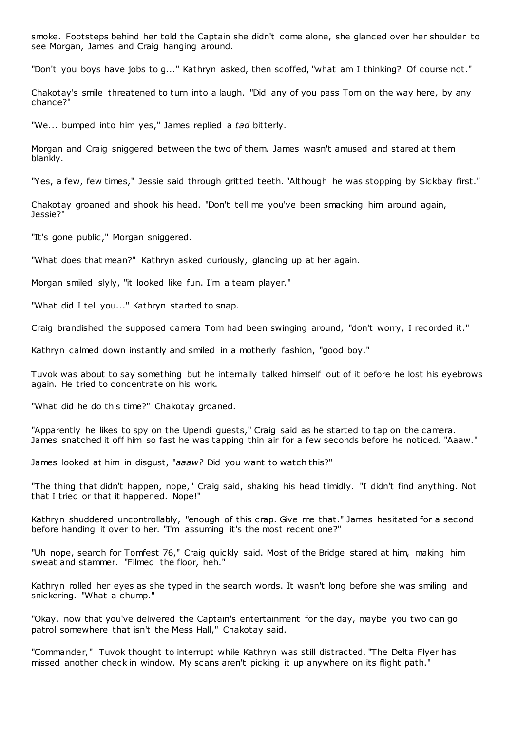smoke. Footsteps behind her told the Captain she didn't come alone, she glanced over her shoulder to see Morgan, James and Craig hanging around.

"Don't you boys have jobs to g..." Kathryn asked, then scoffed, "what am I thinking? Of course not."

Chakotay's smile threatened to turn into a laugh. "Did any of you pass Tom on the way here, by any chance?"

"We... bumped into him yes," James replied a *tad* bitterly.

Morgan and Craig sniggered between the two of them. James wasn't amused and stared at them blankly.

"Yes, a few, few times," Jessie said through gritted teeth. "Although he was stopping by Sickbay first."

Chakotay groaned and shook his head. "Don't tell me you've been smacking him around again, Jessie?"

"It's gone public ," Morgan sniggered.

"What does that mean?" Kathryn asked curiously, glancing up at her again.

Morgan smiled slyly, "it looked like fun. I'm a team player."

"What did I tell you..." Kathryn started to snap.

Craig brandished the supposed camera Tom had been swinging around, "don't worry, I recorded it."

Kathryn calmed down instantly and smiled in a motherly fashion, "good boy."

Tuvok was about to say something but he internally talked himself out of it before he lost his eyebrows again. He tried to concentrate on his work.

"What did he do this time?" Chakotay groaned.

"Apparently he likes to spy on the Upendi guests," Craig said as he started to tap on the camera. James snatched it off him so fast he was tapping thin air for a few seconds before he noticed. "Aaaw."

James looked at him in disgust, "*aaaw?* Did you want to watch this?"

"The thing that didn't happen, nope," Craig said, shaking his head timidly. "I didn't find anything. Not that I tried or that it happened. Nope!"

Kathryn shuddered uncontrollably, "enough of this crap. Give me that." James hesitated for a second before handing it over to her. "I'm assuming it's the most recent one?"

"Uh nope, search for Tomfest 76," Craig quickly said. Most of the Bridge stared at him, making him sweat and stammer. "Filmed the floor, heh."

Kathryn rolled her eyes as she typed in the search words. It wasn't long before she was smiling and snickering. "What a chump."

"Okay, now that you've delivered the Captain's entertainment for the day, maybe you two can go patrol somewhere that isn't the Mess Hall," Chakotay said.

"Commander," Tuvok thought to interrupt while Kathryn was still distracted. "The Delta Flyer has missed another check in window. My scans aren't picking it up anywhere on its flight path."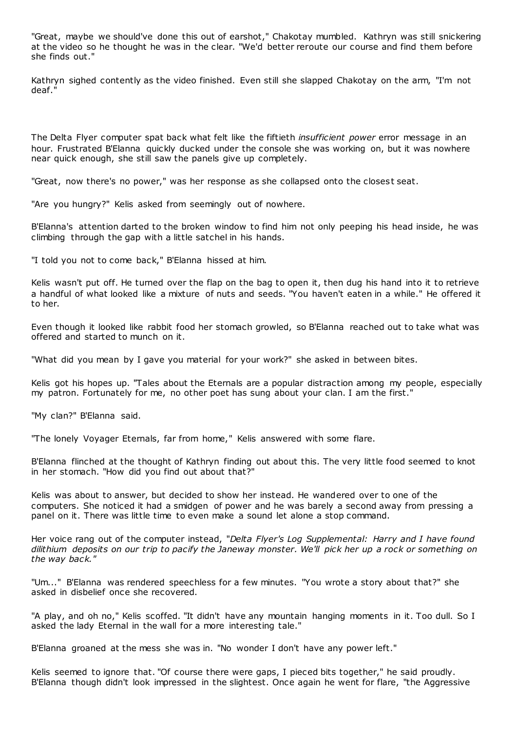"Great, maybe we should've done this out of earshot," Chakotay mumbled. Kathryn was still snickering at the video so he thought he was in the clear. "We'd better reroute our course and find them before she finds out."

Kathryn sighed contently as the video finished. Even still she slapped Chakotay on the arm, "I'm not deaf."

The Delta Flyer computer spat back what felt like the fiftieth *insufficient power* error message in an hour. Frustrated B'Elanna quickly ducked under the console she was working on, but it was nowhere near quick enough, she still saw the panels give up completely.

"Great, now there's no power," was her response as she collapsed onto the closest seat.

"Are you hungry?" Kelis asked from seemingly out of nowhere.

B'Elanna's attention darted to the broken window to find him not only peeping his head inside, he was climbing through the gap with a little satchel in his hands.

"I told you not to come back," B'Elanna hissed at him.

Kelis wasn't put off. He turned over the flap on the bag to open it, then dug his hand into it to retrieve a handful of what looked like a mixture of nuts and seeds. "You haven't eaten in a while." He offered it to her.

Even though it looked like rabbit food her stomach growled, so B'Elanna reached out to take what was offered and started to munch on it.

"What did you mean by I gave you material for your work?" she asked in between bites.

Kelis got his hopes up. "Tales about the Eternals are a popular distraction among my people, especially my patron. Fortunately for me, no other poet has sung about your clan. I am the first."

"My clan?" B'Elanna said.

"The lonely Voyager Eternals, far from home," Kelis answered with some flare.

B'Elanna flinched at the thought of Kathryn finding out about this. The very little food seemed to knot in her stomach. "How did you find out about that?"

Kelis was about to answer, but decided to show her instead. He wandered over to one of the computers. She noticed it had a smidgen of power and he was barely a second away from pressing a panel on it. There was little time to even make a sound let alone a stop command.

Her voice rang out of the computer instead, "*Delta Flyer's Log Supplemental: Harry and I have found dilithium deposits on our trip to pacify the Janeway monster. We'll pick her up a rock or something on the way back."*

"Um..." B'Elanna was rendered speechless for a few minutes. "You wrote a story about that?" she asked in disbelief once she recovered.

"A play, and oh no," Kelis scoffed. "It didn't have any mountain hanging moments in it. Too dull. So I asked the lady Eternal in the wall for a more interesting tale."

B'Elanna groaned at the mess she was in. "No wonder I don't have any power left."

Kelis seemed to ignore that. "Of course there were gaps, I pieced bits together," he said proudly. B'Elanna though didn't look impressed in the slightest. Once again he went for flare, "the Aggressive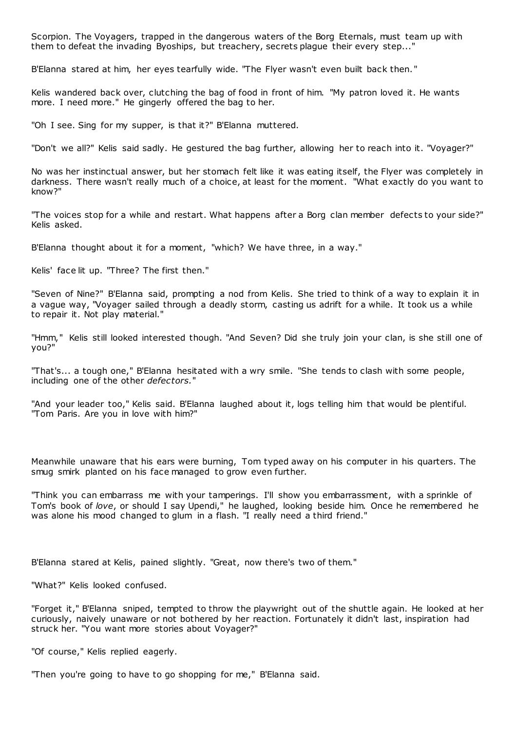Scorpion. The Voyagers, trapped in the dangerous waters of the Borg Eternals, must team up with them to defeat the invading Byoships, but treachery, secrets plague their every step..."

B'Elanna stared at him, her eyes tearfully wide. "The Flyer wasn't even built back then. "

Kelis wandered back over, clutching the bag of food in front of him. "My patron loved it. He wants more. I need more." He gingerly offered the bag to her.

"Oh I see. Sing for my supper, is that it?" B'Elanna muttered.

"Don't we all?" Kelis said sadly. He gestured the bag further, allowing her to reach into it. "Voyager?"

No was her instinctual answer, but her stomach felt like it was eating itself, the Flyer was completely in darkness. There wasn't really much of a choice, at least for the moment. "What exactly do you want to know?"

"The voices stop for a while and restart. What happens after a Borg clan member defects to your side?" Kelis asked.

B'Elanna thought about it for a moment, "which? We have three, in a way."

Kelis' face lit up. "Three? The first then."

"Seven of Nine?" B'Elanna said, prompting a nod from Kelis. She tried to think of a way to explain it in a vague way, "Voyager sailed through a deadly storm, casting us adrift for a while. It took us a while to repair it. Not play material."

"Hmm," Kelis still looked interested though. "And Seven? Did she truly join your clan, is she still one of you?"

"That's... a tough one," B'Elanna hesitated with a wry smile. "She tends to clash with some people, including one of the other *defectors.*"

"And your leader too," Kelis said. B'Elanna laughed about it, logs telling him that would be plentiful. "Tom Paris. Are you in love with him?"

Meanwhile unaware that his ears were burning, Tom typed away on his computer in his quarters. The smug smirk planted on his face managed to grow even further.

"Think you can embarrass me with your tamperings. I'll show you embarrassment, with a sprinkle of Tom's book of *love*, or should I say Upendi," he laughed, looking beside him. Once he remembered he was alone his mood changed to glum in a flash. "I really need a third friend."

B'Elanna stared at Kelis, pained slightly. "Great, now there's two of them."

"What?" Kelis looked confused.

"Forget it," B'Elanna sniped, tempted to throw the playwright out of the shuttle again. He looked at her curiously, naively unaware or not bothered by her reaction. Fortunately it didn't last, inspiration had struck her. "You want more stories about Voyager?"

"Of course," Kelis replied eagerly.

"Then you're going to have to go shopping for me," B'Elanna said.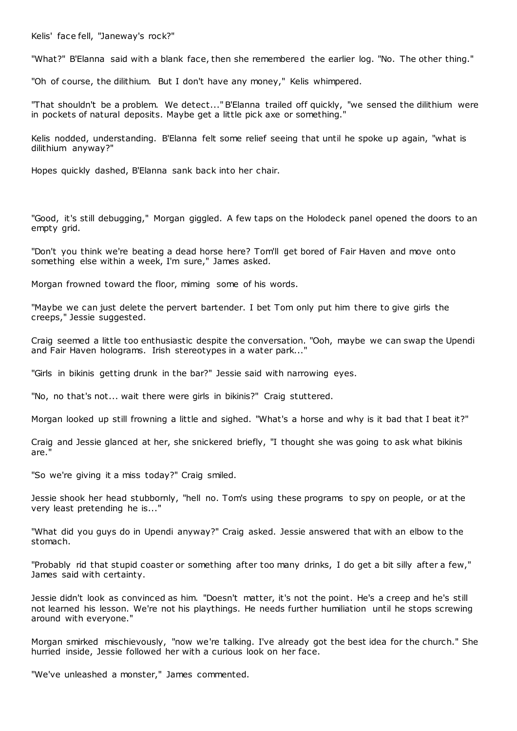Kelis' face fell, "Janeway's rock?"

"What?" B'Elanna said with a blank face, then she remembered the earlier log. "No. The other thing."

"Oh of course, the dilithium. But I don't have any money," Kelis whimpered.

"That shouldn't be a problem. We detect..." B'Elanna trailed off quickly, "we sensed the dilithium were in pockets of natural deposits. Maybe get a little pick axe or something."

Kelis nodded, understanding. B'Elanna felt some relief seeing that until he spoke up again, "what is dilithium anyway?"

Hopes quickly dashed, B'Elanna sank back into her chair.

"Good, it's still debugging," Morgan giggled. A few taps on the Holodeck panel opened the doors to an empty grid.

"Don't you think we're beating a dead horse here? Tom'll get bored of Fair Haven and move onto something else within a week, I'm sure," James asked.

Morgan frowned toward the floor, miming some of his words.

"Maybe we can just delete the pervert bartender. I bet Tom only put him there to give girls the creeps," Jessie suggested.

Craig seemed a little too enthusiastic despite the conversation. "Ooh, maybe we can swap the Upendi and Fair Haven holograms. Irish stereotypes in a water park..."

"Girls in bikinis getting drunk in the bar?" Jessie said with narrowing eyes.

"No, no that's not... wait there were girls in bikinis?" Craig stuttered.

Morgan looked up still frowning a little and sighed. "What's a horse and why is it bad that I beat it?"

Craig and Jessie glanced at her, she snickered briefly, "I thought she was going to ask what bikinis are."

"So we're giving it a miss today?" Craig smiled.

Jessie shook her head stubbornly, "hell no. Tom's using these programs to spy on people, or at the very least pretending he is..."

"What did you guys do in Upendi anyway?" Craig asked. Jessie answered that with an elbow to the stomach.

"Probably rid that stupid coaster or something after too many drinks, I do get a bit silly after a few," James said with certainty.

Jessie didn't look as convinced as him. "Doesn't matter, it's not the point. He's a creep and he's still not learned his lesson. We're not his playthings. He needs further humiliation until he stops screwing around with everyone."

Morgan smirked mischievously, "now we're talking. I've already got the best idea for the church." She hurried inside, Jessie followed her with a curious look on her face.

"We've unleashed a monster," James commented.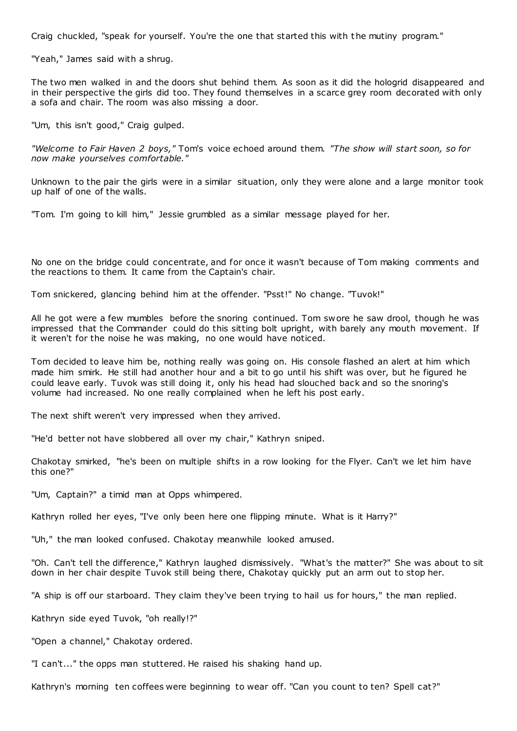Craig chuckled, "speak for yourself. You're the one that started this with t he mutiny program."

"Yeah," James said with a shrug.

The two men walked in and the doors shut behind them. As soon as it did the hologrid disappeared and in their perspective the girls did too. They found themselves in a scarce grey room decorated with only a sofa and chair. The room was also missing a door.

"Um, this isn't good," Craig gulped.

*"Welcome to Fair Haven 2 boys,"* Tom's voice echoed around them. *"The show will start soon, so for now make yourselves comfortable."*

Unknown to the pair the girls were in a similar situation, only they were alone and a large monitor took up half of one of the walls.

"Tom. I'm going to kill him," Jessie grumbled as a similar message played for her.

No one on the bridge could concentrate, and for once it wasn't because of Tom making comments and the reactions to them. It came from the Captain's chair.

Tom snickered, glancing behind him at the offender. "Psst!" No change. "Tuvok!"

All he got were a few mumbles before the snoring continued. Tom swore he saw drool, though he was impressed that the Commander could do this sitting bolt upright, with barely any mouth movement. If it weren't for the noise he was making, no one would have noticed.

Tom decided to leave him be, nothing really was going on. His console flashed an alert at him which made him smirk. He still had another hour and a bit to go until his shift was over, but he figured he could leave early. Tuvok was still doing it, only his head had slouched back and so the snoring's volume had increased. No one really complained when he left his post early.

The next shift weren't very impressed when they arrived.

"He'd better not have slobbered all over my chair," Kathryn sniped.

Chakotay smirked, "he's been on multiple shifts in a row looking for the Flyer. Can't we let him have this one?"

"Um, Captain?" a timid man at Opps whimpered.

Kathryn rolled her eyes, "I've only been here one flipping minute. What is it Harry?"

"Uh," the man looked confused. Chakotay meanwhile looked amused.

"Oh. Can't tell the difference," Kathryn laughed dismissively. "What's the matter?" She was about to sit down in her chair despite Tuvok still being there, Chakotay quickly put an arm out to stop her.

"A ship is off our starboard. They claim they've been trying to hail us for hours," the man replied.

Kathryn side eyed Tuvok, "oh really!?"

"Open a channel," Chakotay ordered.

"I can't..." the opps man stuttered. He raised his shaking hand up.

Kathryn's morning ten coffees were beginning to wear off. "Can you count to ten? Spell cat?"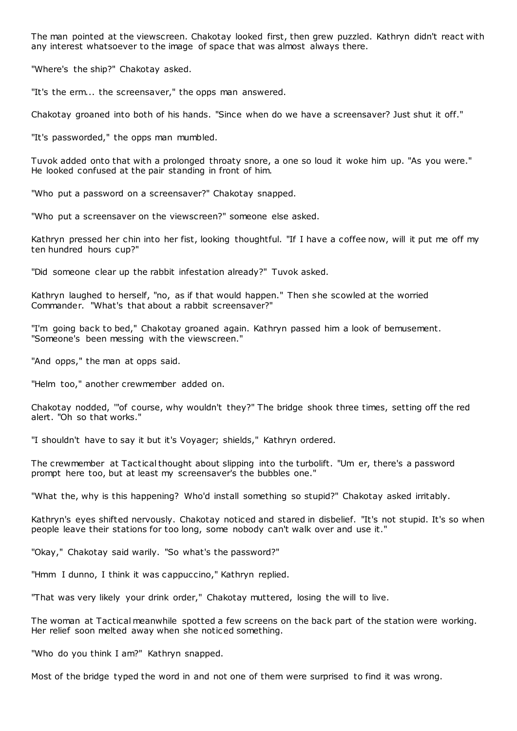The man pointed at the viewscreen. Chakotay looked first, then grew puzzled. Kathryn didn't react with any interest whatsoever to the image of space that was almost always there.

"Where's the ship?" Chakotay asked.

"It's the erm... the screensaver," the opps man answered.

Chakotay groaned into both of his hands. "Since when do we have a screensaver? Just shut it off."

"It's passworded," the opps man mumbled.

Tuvok added onto that with a prolonged throaty snore, a one so loud it woke him up. "As you were." He looked confused at the pair standing in front of him.

"Who put a password on a screensaver?" Chakotay snapped.

"Who put a screensaver on the viewscreen?" someone else asked.

Kathryn pressed her chin into her fist, looking thoughtful. "If I have a coffee now, will it put me off my ten hundred hours cup?"

"Did someone clear up the rabbit infestation already?" Tuvok asked.

Kathryn laughed to herself, "no, as if that would happen." Then she scowled at the worried Commander. "What's that about a rabbit screensaver?"

"I'm going back to bed," Chakotay groaned again. Kathryn passed him a look of bemusement. "Someone's been messing with the viewscreen."

"And opps," the man at opps said.

"Helm too," another crewmember added on.

Chakotay nodded, '"of course, why wouldn't they?" The bridge shook three times, setting off the red alert. "Oh so that works."

"I shouldn't have to say it but it's Voyager; shields," Kathryn ordered.

The crewmember at Tactical thought about slipping into the turbolift. "Um er, there's a password prompt here too, but at least my screensaver's the bubbles one."

"What the, why is this happening? Who'd install something so stupid?" Chakotay asked irritably.

Kathryn's eyes shifted nervously. Chakotay noticed and stared in disbelief. "It's not stupid. It's so when people leave their stations for too long, some nobody can't walk over and use it."

"Okay," Chakotay said warily. "So what's the password?"

"Hmm I dunno, I think it was cappuccino," Kathryn replied.

"That was very likely your drink order," Chakotay muttered, losing the will to live.

The woman at Tactical meanwhile spotted a few screens on the back part of the station were working. Her relief soon melted away when she notic ed something.

"Who do you think I am?" Kathryn snapped.

Most of the bridge typed the word in and not one of them were surprised to find it was wrong.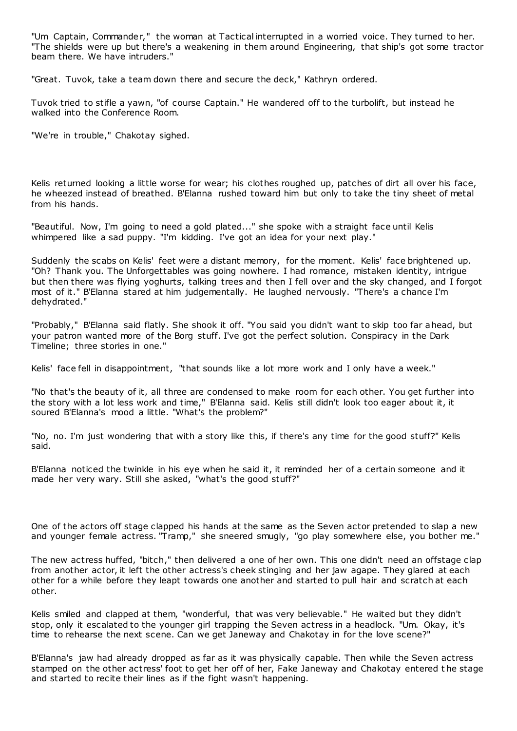"Um Captain, Commander," the woman at Tactical interrupted in a worried voice. They turned to her. "The shields were up but there's a weakening in them around Engineering, that ship's got some tractor beam there. We have intruders."

"Great. Tuvok, take a team down there and secure the deck," Kathryn ordered.

Tuvok tried to stifle a yawn, "of course Captain." He wandered off to the turbolift, but instead he walked into the Conference Room.

"We're in trouble," Chakotay sighed.

Kelis returned looking a little worse for wear; his clothes roughed up, patches of dirt all over his face, he wheezed instead of breathed. B'Elanna rushed toward him but only to take the tiny sheet of metal from his hands.

"Beautiful. Now, I'm going to need a gold plated..." she spoke with a straight face until Kelis whimpered like a sad puppy. "I'm kidding. I've got an idea for your next play."

Suddenly the scabs on Kelis' feet were a distant memory, for the moment. Kelis' face brightened up. "Oh? Thank you. The Unforgettables was going nowhere. I had romance, mistaken identity, intrigue but then there was flying yoghurts, talking trees and then I fell over and the sky changed, and I forgot most of it." B'Elanna stared at him judgementally. He laughed nervously. "There's a chance I'm dehydrated."

"Probably," B'Elanna said flatly. She shook it off. "You said you didn't want to skip too far ahead, but your patron wanted more of the Borg stuff. I've got the perfect solution. Conspiracy in the Dark Timeline; three stories in one."

Kelis' face fell in disappointment, "that sounds like a lot more work and I only have a week."

"No that's the beauty of it, all three are condensed to make room for each other. You get further into the story with a lot less work and time," B'Elanna said. Kelis still didn't look too eager about it, it soured B'Elanna's mood a little. "What's the problem?"

"No, no. I'm just wondering that with a story like this, if there's any time for the good stuff?" Kelis said.

B'Elanna noticed the twinkle in his eye when he said it, it reminded her of a certain someone and it made her very wary. Still she asked, "what's the good stuff?"

One of the actors off stage clapped his hands at the same as the Seven actor pretended to slap a new and younger female actress. "Tramp," she sneered smugly, "go play somewhere else, you bother me."

The new actress huffed, "bitch," then delivered a one of her own. This one didn't need an offstage clap from another actor, it left the other actress's cheek stinging and her jaw agape. They glared at each other for a while before they leapt towards one another and started to pull hair and scratch at each other.

Kelis smiled and clapped at them, "wonderful, that was very believable." He waited but they didn't stop, only it escalated to the younger girl trapping the Seven actress in a headlock. "Um. Okay, it's time to rehearse the next scene. Can we get Janeway and Chakotay in for the love scene?"

B'Elanna's jaw had already dropped as far as it was physically capable. Then while the Seven actress stamped on the other actress' foot to get her off of her, Fake Janeway and Chakotay entered t he stage and started to recite their lines as if the fight wasn't happening.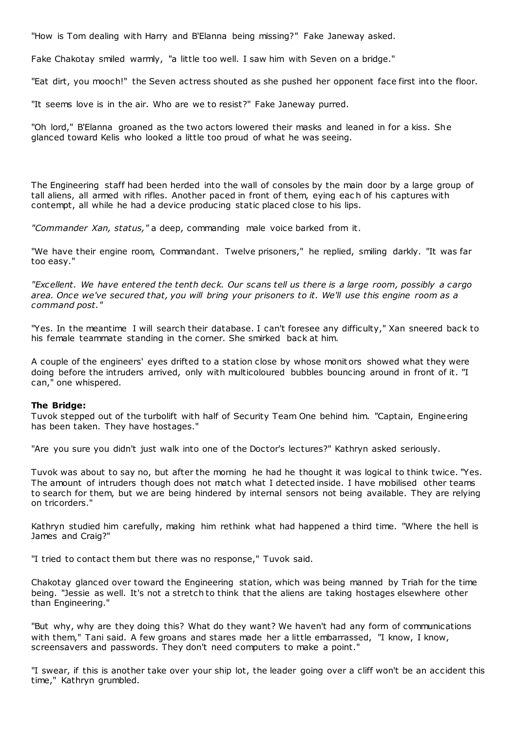"How is Tom dealing with Harry and B'Elanna being missing?" Fake Janeway asked.

Fake Chakotay smiled warmly, "a little too well. I saw him with Seven on a bridge."

"Eat dirt, you mooch!" the Seven actress shouted as she pushed her opponent face first into the floor.

"It seems love is in the air. Who are we to resist?" Fake Janeway purred.

"Oh lord," B'Elanna groaned as the two actors lowered their masks and leaned in for a kiss. She glanced toward Kelis who looked a little too proud of what he was seeing.

The Engineering staff had been herded into the wall of consoles by the main door by a large group of tall aliens, all armed with rifles. Another paced in front of them, eying eac h of his captures with contempt, all while he had a device producing static placed close to his lips.

*"Commander Xan, status,"* a deep, commanding male voice barked from it.

"We have their engine room, Commandant. Twelve prisoners," he replied, smiling darkly. "It was far too easy."

*"Excellent. We have entered the tenth deck. Our scans tell us there is a large room, possibly a cargo area. Once we've secured that, you will bring your prisoners to it. We'll use this engine room as a command post."*

"Yes. In the meantime I will search their database. I can't foresee any difficulty," Xan sneered back to his female teammate standing in the corner. She smirked back at him.

A couple of the engineers' eyes drifted to a station close by whose monit ors showed what they were doing before the intruders arrived, only with multicoloured bubbles bouncing around in front of it. "I can," one whispered.

# **The Bridge:**

Tuvok stepped out of the turbolift with half of Security Team One behind him. "Captain, Engineering has been taken. They have hostages."

"Are you sure you didn't just walk into one of the Doctor's lectures?" Kathryn asked seriously.

Tuvok was about to say no, but after the morning he had he thought it was logical to think twice. "Yes. The amount of intruders though does not match what I detected inside. I have mobilised other teams to search for them, but we are being hindered by internal sensors not being available. They are relying on tricorders."

Kathryn studied him carefully, making him rethink what had happened a third time. "Where the hell is James and Craig?"

"I tried to contact them but there was no response," Tuvok said.

Chakotay glanced over toward the Engineering station, which was being manned by Triah for the time being. "Jessie as well. It's not a stretch to think that the aliens are taking hostages elsewhere other than Engineering."

"But why, why are they doing this? What do they want? We haven't had any form of communications with them," Tani said. A few groans and stares made her a little embarrassed, "I know, I know, screensavers and passwords. They don't need computers to make a point."

"I swear, if this is another take over your ship lot, the leader going over a cliff won't be an accident this time," Kathryn grumbled.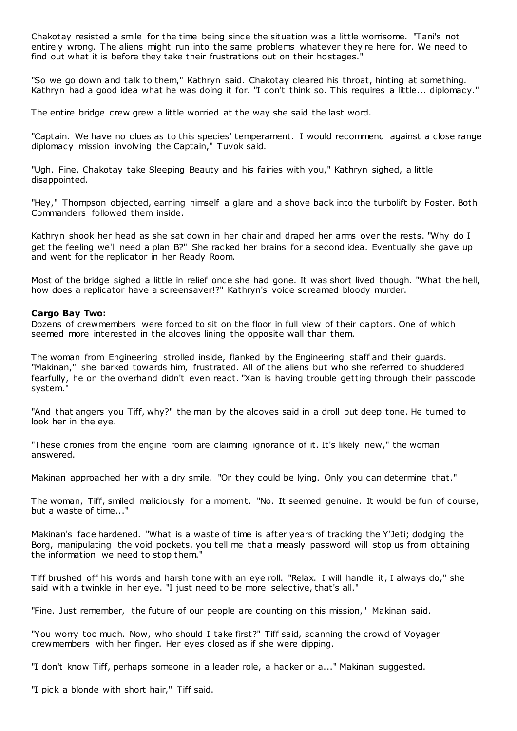Chakotay resisted a smile for the time being since the situation was a little worrisome. "Tani's not entirely wrong. The aliens might run into the same problems whatever they're here for. We need to find out what it is before they take their frustrations out on their hostages."

"So we go down and talk to them," Kathryn said. Chakotay cleared his throat, hinting at something. Kathryn had a good idea what he was doing it for. "I don't think so. This requires a little... diplomacy."

The entire bridge crew grew a little worried at the way she said the last word.

"Captain. We have no clues as to this species' temperament. I would recommend against a close range diplomacy mission involving the Captain," Tuvok said.

"Ugh. Fine, Chakotay take Sleeping Beauty and his fairies with you," Kathryn sighed, a little disappointed.

"Hey," Thompson objected, earning himself a glare and a shove back into the turbolift by Foster. Both Commanders followed them inside.

Kathryn shook her head as she sat down in her chair and draped her arms over the rests. "Why do I get the feeling we'll need a plan B?" She racked her brains for a second idea. Eventually she gave up and went for the replicator in her Ready Room.

Most of the bridge sighed a little in relief once she had gone. It was short lived though. "What the hell, how does a replicator have a screensaver!?" Kathryn's voice screamed bloody murder.

#### **Cargo Bay Two:**

Dozens of crewmembers were forced to sit on the floor in full view of their captors. One of which seemed more interested in the alcoves lining the opposite wall than them.

The woman from Engineering strolled inside, flanked by the Engineering staff and their guards. "Makinan," she barked towards him, frustrated. All of the aliens but who she referred to shuddered fearfully, he on the overhand didn't even react. "Xan is having trouble getting through their passcode system."

"And that angers you Tiff, why?" the man by the alcoves said in a droll but deep tone. He turned to look her in the eye.

"These cronies from the engine room are claiming ignorance of it. It's likely new," the woman answered.

Makinan approached her with a dry smile. "Or they could be lying. Only you can determine that."

The woman, Tiff, smiled maliciously for a moment. "No. It seemed genuine. It would be fun of course, but a waste of time..."

Makinan's face hardened. "What is a waste of time is after years of tracking the Y'Jeti; dodging the Borg, manipulating the void pockets, you tell me that a measly password will stop us from obtaining the information we need to stop them."

Tiff brushed off his words and harsh tone with an eye roll. "Relax. I will handle it, I always do," she said with a twinkle in her eye. "I just need to be more selective, that's all."

"Fine. Just remember, the future of our people are counting on this mission," Makinan said.

"You worry too much. Now, who should I take first?" Tiff said, scanning the crowd of Voyager crewmembers with her finger. Her eyes closed as if she were dipping.

"I don't know Tiff, perhaps someone in a leader role, a hacker or a..." Makinan suggested.

"I pick a blonde with short hair," Tiff said.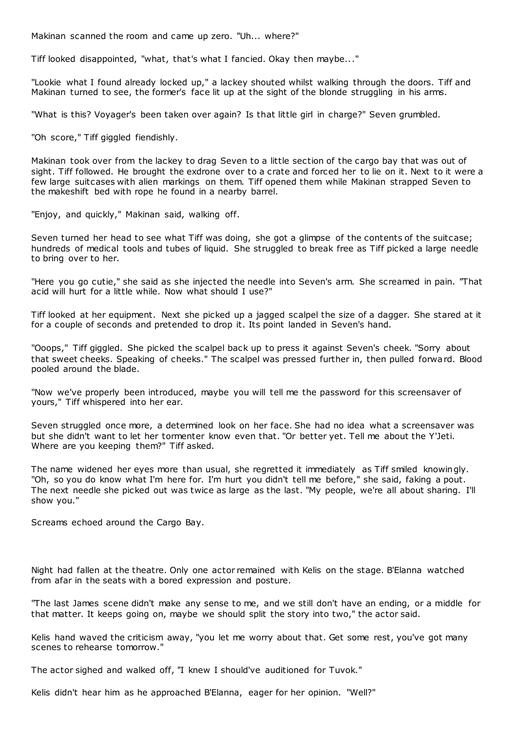Makinan scanned the room and came up zero. "Uh... where?"

Tiff looked disappointed, "what, that's what I fancied. Okay then maybe..."

"Lookie what I found already locked up," a lackey shouted whilst walking through the doors. Tiff and Makinan turned to see, the former's face lit up at the sight of the blonde struggling in his arms.

"What is this? Voyager's been taken over again? Is that little girl in charge?" Seven grumbled.

"Oh score," Tiff giggled fiendishly.

Makinan took over from the lackey to drag Seven to a little section of the cargo bay that was out of sight. Tiff followed. He brought the exdrone over to a crate and forced her to lie on it. Next to it were a few large suitcases with alien markings on them. Tiff opened them while Makinan strapped Seven to the makeshift bed with rope he found in a nearby barrel.

"Enjoy, and quickly," Makinan said, walking off.

Seven turned her head to see what Tiff was doing, she got a glimpse of the contents of the suitcase; hundreds of medical tools and tubes of liquid. She struggled to break free as Tiff picked a large needle to bring over to her.

"Here you go cutie," she said as she injected the needle into Seven's arm. She screamed in pain. "That acid will hurt for a little while. Now what should I use?"

Tiff looked at her equipment. Next she picked up a jagged scalpel the size of a dagger. She stared at it for a couple of seconds and pretended to drop it. Its point landed in Seven's hand.

"Ooops," Tiff giggled. She picked the scalpel back up to press it against Seven's cheek. "Sorry about that sweet cheeks. Speaking of cheeks." The scalpel was pressed further in, then pulled forward. Blood pooled around the blade.

"Now we've properly been introduced, maybe you will tell me the password for this screensaver of yours," Tiff whispered into her ear.

Seven struggled once more, a determined look on her face. She had no idea what a screensaver was but she didn't want to let her tormenter know even that. "Or better yet. Tell me about the Y'Jeti. Where are you keeping them?" Tiff asked.

The name widened her eyes more than usual, she regretted it immediately as Tiff smiled knowingly. "Oh, so you do know what I'm here for. I'm hurt you didn't tell me before," she said, faking a pout. The next needle she picked out was twice as large as the last. "My people, we're all about sharing. I'll show you."

Screams echoed around the Cargo Bay.

Night had fallen at the theatre. Only one actor remained with Kelis on the stage. B'Elanna watched from afar in the seats with a bored expression and posture.

"The last James scene didn't make any sense to me, and we still don't have an ending, or a middle for that matter. It keeps going on, maybe we should split the story into two," the actor said.

Kelis hand waved the criticism away, "you let me worry about that. Get some rest, you've got many scenes to rehearse tomorrow."

The actor sighed and walked off, "I knew I should've auditioned for Tuvok."

Kelis didn't hear him as he approached B'Elanna, eager for her opinion. "Well?"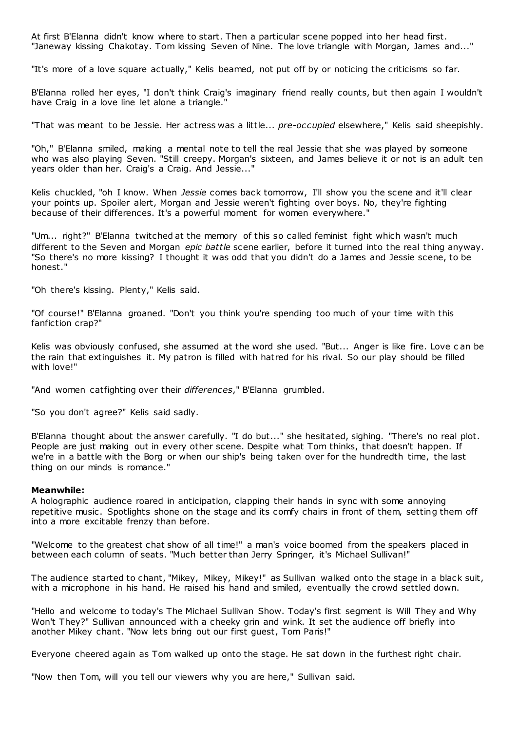At first B'Elanna didn't know where to start. Then a particular scene popped into her head first. "Janeway kissing Chakotay. Tom kissing Seven of Nine. The love triangle with Morgan, James and..."

"It's more of a love square actually," Kelis beamed, not put off by or noticing the criticisms so far.

B'Elanna rolled her eyes, "I don't think Craig's imaginary friend really counts, but then again I wouldn't have Craig in a love line let alone a triangle."

"That was meant to be Jessie. Her actress was a little... *pre-occupied* elsewhere," Kelis said sheepishly.

"Oh," B'Elanna smiled, making a mental note to tell the real Jessie that she was played by someone who was also playing Seven. "Still creepy. Morgan's sixteen, and James believe it or not is an adult ten years older than her. Craig's a Craig. And Jessie..."

Kelis chuckled, "oh I know. When *Jessie* comes back tomorrow, I'll show you the scene and it'll clear your points up. Spoiler alert, Morgan and Jessie weren't fighting over boys. No, they're fighting because of their differences. It's a powerful moment for women everywhere."

"Um... right?" B'Elanna twitched at the memory of this so called feminist fight which wasn't much different to the Seven and Morgan *epic battle* scene earlier, before it turned into the real thing anyway. "So there's no more kissing? I thought it was odd that you didn't do a James and Jessie scene, to be honest."

"Oh there's kissing. Plenty," Kelis said.

"Of course!" B'Elanna groaned. "Don't you think you're spending too much of your time with this fanfiction crap?"

Kelis was obviously confused, she assumed at the word she used. "But... Anger is like fire. Love c an be the rain that extinguishes it. My patron is filled with hatred for his rival. So our play should be filled with love!"

"And women catfighting over their *differences*," B'Elanna grumbled.

"So you don't agree?" Kelis said sadly.

B'Elanna thought about the answer carefully. "I do but..." she hesitated, sighing. "There's no real plot. People are just making out in every other scene. Despite what Tom thinks, that doesn't happen. If we're in a battle with the Borg or when our ship's being taken over for the hundredth time, the last thing on our minds is romance."

# **Meanwhile:**

A holographic audience roared in anticipation, clapping their hands in sync with some annoying repetitive music . Spotlights shone on the stage and its comfy chairs in front of them, setting them off into a more excitable frenzy than before.

"Welcome to the greatest chat show of all time!" a man's voice boomed from the speakers placed in between each column of seats. "Much better than Jerry Springer, it's Michael Sullivan!"

The audience started to chant, "Mikey, Mikey, Mikey!" as Sullivan walked onto the stage in a black suit, with a microphone in his hand. He raised his hand and smiled, eventually the crowd settled down.

"Hello and welcome to today's The Michael Sullivan Show. Today's first segment is Will They and Why Won't They?" Sullivan announced with a cheeky grin and wink. It set the audience off briefly into another Mikey chant. "Now lets bring out our first guest, Tom Paris!"

Everyone cheered again as Tom walked up onto the stage. He sat down in the furthest right chair.

"Now then Tom, will you tell our viewers why you are here," Sullivan said.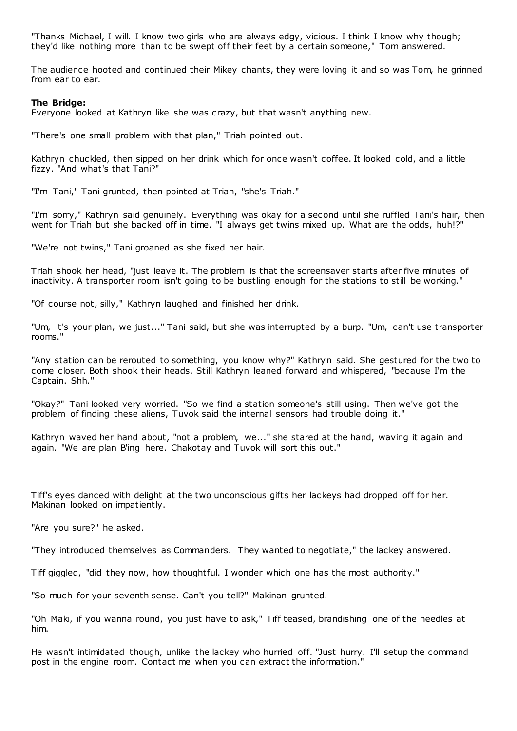"Thanks Michael, I will. I know two girls who are always edgy, vicious. I think I know why though; they'd like nothing more than to be swept off their feet by a certain someone," Tom answered.

The audience hooted and continued their Mikey chants, they were loving it and so was Tom, he grinned from ear to ear.

#### **The Bridge:**

Everyone looked at Kathryn like she was crazy, but that wasn't anything new.

"There's one small problem with that plan," Triah pointed out.

Kathryn chuckled, then sipped on her drink which for once wasn't coffee. It looked cold, and a little fizzy. "And what's that Tani?"

"I'm Tani," Tani grunted, then pointed at Triah, "she's Triah."

"I'm sorry," Kathryn said genuinely. Everything was okay for a second until she ruffled Tani's hair, then went for Triah but she backed off in time. "I always get twins mixed up. What are the odds, huh!?"

"We're not twins," Tani groaned as she fixed her hair.

Triah shook her head, "just leave it. The problem is that the screensaver starts after five minutes of inactivity. A transporter room isn't going to be bustling enough for the stations to still be working."

"Of course not, silly," Kathryn laughed and finished her drink.

"Um, it's your plan, we just..." Tani said, but she was interrupted by a burp. "Um, can't use transporter rooms."

"Any station can be rerouted to something, you know why?" Kathryn said. She gestured for the two to come closer. Both shook their heads. Still Kathryn leaned forward and whispered, "because I'm the Captain. Shh."

"Okay?" Tani looked very worried. "So we find a station someone's still using. Then we've got the problem of finding these aliens, Tuvok said the internal sensors had trouble doing it."

Kathryn waved her hand about, "not a problem, we..." she stared at the hand, waving it again and again. "We are plan B'ing here. Chakotay and Tuvok will sort this out."

Tiff's eyes danced with delight at the two unconscious gifts her lackeys had dropped off for her. Makinan looked on impatiently.

"Are you sure?" he asked.

"They introduced themselves as Commanders. They wanted to negotiate," the lackey answered.

Tiff giggled, "did they now, how thoughtful. I wonder which one has the most authority."

"So much for your seventh sense. Can't you tell?" Makinan grunted.

"Oh Maki, if you wanna round, you just have to ask," Tiff teased, brandishing one of the needles at him.

He wasn't intimidated though, unlike the lackey who hurried off. "Just hurry. I'll setup the command post in the engine room. Contact me when you can extract the information."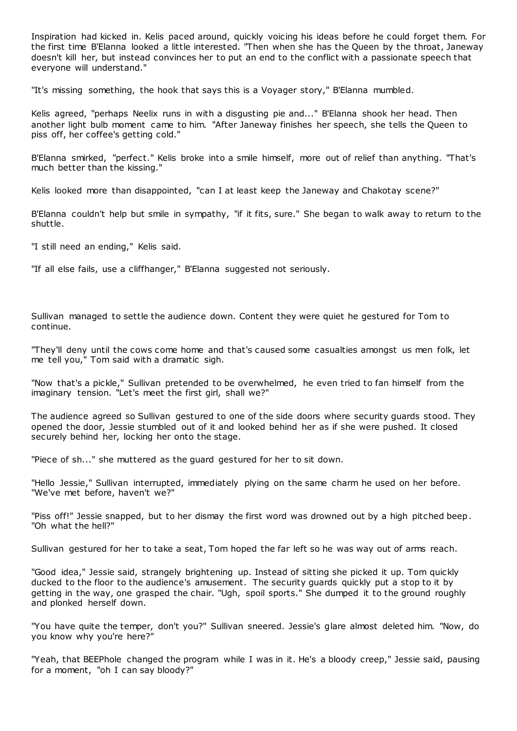Inspiration had kicked in. Kelis paced around, quickly voicing his ideas before he could forget them. For the first time B'Elanna looked a little interested. "Then when she has the Queen by the throat, Janeway doesn't kill her, but instead convinces her to put an end to the conflict with a passionate speech that everyone will understand."

"It's missing something, the hook that says this is a Voyager story," B'Elanna mumbled.

Kelis agreed, "perhaps Neelix runs in with a disgusting pie and..." B'Elanna shook her head. Then another light bulb moment came to him. "After Janeway finishes her speech, she tells the Queen to piss off, her coffee's getting cold."

B'Elanna smirked, "perfect." Kelis broke into a smile himself, more out of relief than anything. "That's much better than the kissing."

Kelis looked more than disappointed, "can I at least keep the Janeway and Chakotay scene?"

B'Elanna couldn't help but smile in sympathy, "if it fits, sure." She began to walk away to return to the shuttle.

"I still need an ending," Kelis said.

"If all else fails, use a cliffhanger," B'Elanna suggested not seriously.

Sullivan managed to settle the audience down. Content they were quiet he gestured for Tom to continue.

"They'll deny until the cows come home and that's caused some casualties amongst us men folk, let me tell you," Tom said with a dramatic sigh.

"Now that's a pickle," Sullivan pretended to be overwhelmed, he even tried to fan himself from the imaginary tension. "Let's meet the first girl, shall we?"

The audience agreed so Sullivan gestured to one of the side doors where security guards stood. They opened the door, Jessie stumbled out of it and looked behind her as if she were pushed. It closed securely behind her, locking her onto the stage.

"Piece of sh..." she muttered as the guard gestured for her to sit down.

"Hello Jessie," Sullivan interrupted, immediately plying on the same charm he used on her before. "We've met before, haven't we?"

"Piss off!" Jessie snapped, but to her dismay the first word was drowned out by a high pitched beep. "Oh what the hell?"

Sullivan gestured for her to take a seat, Tom hoped the far left so he was way out of arms reach.

"Good idea," Jessie said, strangely brightening up. Instead of sitting she picked it up. Tom quickly ducked to the floor to the audience's amusement. The security guards quickly put a stop to it by getting in the way, one grasped the chair. "Ugh, spoil sports." She dumped it to the ground roughly and plonked herself down.

"You have quite the temper, don't you?" Sullivan sneered. Jessie's glare almost deleted him. "Now, do you know why you're here?"

"Yeah, that BEEPhole changed the program while I was in it. He's a bloody creep," Jessie said, pausing for a moment, "oh I can say bloody?"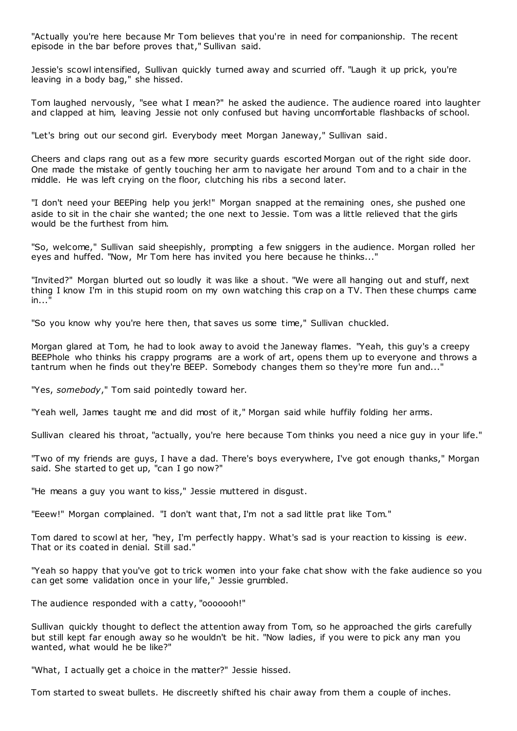"Actually you're here because Mr Tom believes that you're in need for companionship. The recent episode in the bar before proves that," Sullivan said.

Jessie's scowl intensified, Sullivan quickly turned away and scurried off. "Laugh it up prick, you're leaving in a body bag," she hissed.

Tom laughed nervously, "see what I mean?" he asked the audience. The audience roared into laughter and clapped at him, leaving Jessie not only confused but having uncomfortable flashbacks of school.

"Let's bring out our second girl. Everybody meet Morgan Janeway," Sullivan said.

Cheers and claps rang out as a few more security guards escorted Morgan out of the right side door. One made the mistake of gently touching her arm to navigate her around Tom and to a chair in the middle. He was left crying on the floor, clutching his ribs a second later.

"I don't need your BEEPing help you jerk!" Morgan snapped at the remaining ones, she pushed one aside to sit in the chair she wanted; the one next to Jessie. Tom was a little relieved that the girls would be the furthest from him.

"So, welcome," Sullivan said sheepishly, prompting a few sniggers in the audience. Morgan rolled her eyes and huffed. "Now, Mr Tom here has invited you here because he thinks..."

"Invited?" Morgan blurted out so loudly it was like a shout. "We were all hanging out and stuff, next thing I know I'm in this stupid room on my own watching this crap on a TV. Then these chumps came  $in...$ "

"So you know why you're here then, that saves us some time," Sullivan chuckled.

Morgan glared at Tom, he had to look away to avoid the Janeway flames. "Yeah, this guy's a creepy BEEPhole who thinks his crappy programs are a work of art, opens them up to everyone and throws a tantrum when he finds out they're BEEP. Somebody changes them so they're more fun and..."

"Yes, *somebody*," Tom said pointedly toward her.

"Yeah well, James taught me and did most of it," Morgan said while huffily folding her arms.

Sullivan cleared his throat, "actually, you're here because Tom thinks you need a nice guy in your life."

"Two of my friends are guys, I have a dad. There's boys everywhere, I've got enough thanks," Morgan said. She started to get up, "can I go now?"

"He means a guy you want to kiss," Jessie muttered in disgust.

"Eeew!" Morgan complained. "I don't want that, I'm not a sad little prat like Tom."

Tom dared to scowl at her, "hey, I'm perfectly happy. What's sad is your reaction to kissing is *eew*. That or its coated in denial. Still sad."

"Yeah so happy that you've got to trick women into your fake chat show with the fake audience so you can get some validation once in your life," Jessie grumbled.

The audience responded with a catty, "ooooooh!"

Sullivan quickly thought to deflect the attention away from Tom, so he approached the girls carefully but still kept far enough away so he wouldn't be hit. "Now ladies, if you were to pick any man you wanted, what would he be like?"

"What, I actually get a choice in the matter?" Jessie hissed.

Tom started to sweat bullets. He discreetly shifted his chair away from them a couple of inches.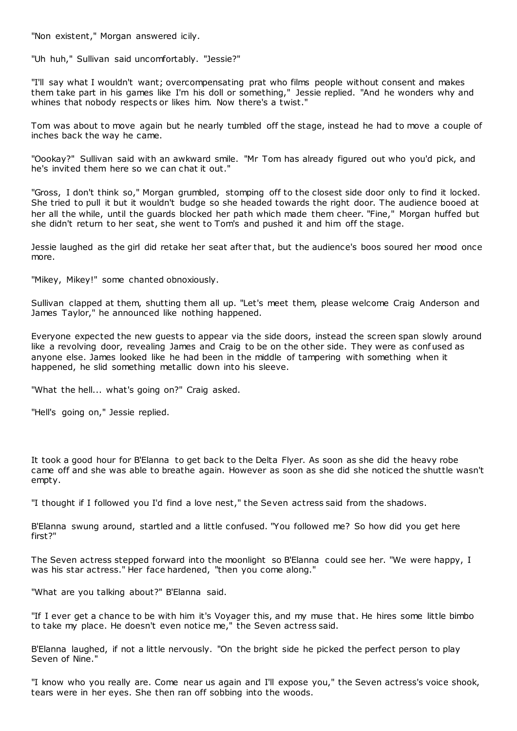"Non existent," Morgan answered icily.

"Uh huh," Sullivan said uncomfortably. "Jessie?"

"I'll say what I wouldn't want; overcompensating prat who films people without consent and makes them take part in his games like I'm his doll or something," Jessie replied. "And he wonders why and whines that nobody respects or likes him. Now there's a twist."

Tom was about to move again but he nearly tumbled off the stage, instead he had to move a couple of inches back the way he came.

"Oookay?" Sullivan said with an awkward smile. "Mr Tom has already figured out who you'd pick, and he's invited them here so we can chat it out."

"Gross, I don't think so," Morgan grumbled, stomping off to the closest side door only to find it locked. She tried to pull it but it wouldn't budge so she headed towards the right door. The audience booed at her all the while, until the guards blocked her path which made them cheer. "Fine," Morgan huffed but she didn't return to her seat, she went to Tom's and pushed it and him off the stage.

Jessie laughed as the girl did retake her seat after that, but the audience's boos soured her mood once more.

"Mikey, Mikey!" some chanted obnoxiously.

Sullivan clapped at them, shutting them all up. "Let's meet them, please welcome Craig Anderson and James Taylor," he announced like nothing happened.

Everyone expected the new guests to appear via the side doors, instead the screen span slowly around like a revolving door, revealing James and Craig to be on the other side. They were as confused as anyone else. James looked like he had been in the middle of tampering with something when it happened, he slid something metallic down into his sleeve.

"What the hell... what's going on?" Craig asked.

"Hell's going on," Jessie replied.

It took a good hour for B'Elanna to get back to the Delta Flyer. As soon as she did the heavy robe came off and she was able to breathe again. However as soon as she did she noticed the shuttle wasn't empty.

"I thought if I followed you I'd find a love nest," the Seven actress said from the shadows.

B'Elanna swung around, startled and a little confused. "You followed me? So how did you get here first?"

The Seven actress stepped forward into the moonlight so B'Elanna could see her. "We were happy, I was his star actress." Her face hardened, "then you come along."

"What are you talking about?" B'Elanna said.

"If I ever get a chance to be with him it's Voyager this, and my muse that. He hires some little bimbo to take my place. He doesn't even notice me," the Seven actress said.

B'Elanna laughed, if not a little nervously. "On the bright side he picked the perfect person to play Seven of Nine."

"I know who you really are. Come near us again and I'll expose you," the Seven actress's voice shook, tears were in her eyes. She then ran off sobbing into the woods.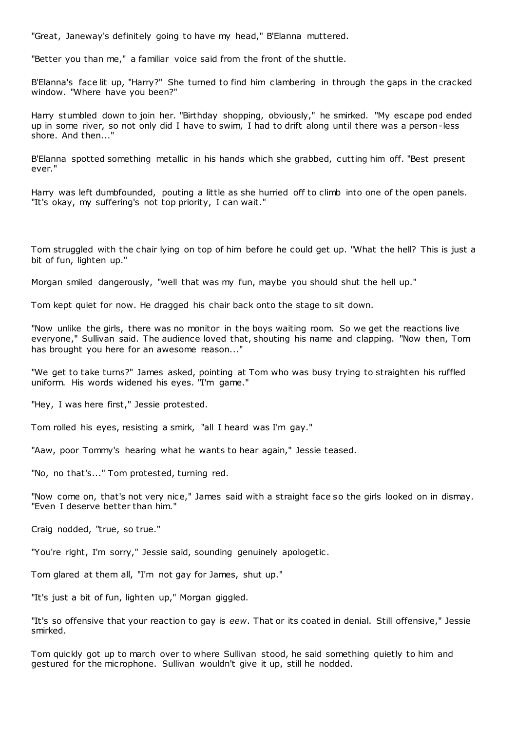"Great, Janeway's definitely going to have my head," B'Elanna muttered.

"Better you than me," a familiar voice said from the front of the shuttle.

B'Elanna's face lit up, "Harry?" She turned to find him clambering in through the gaps in the cracked window. "Where have you been?"

Harry stumbled down to join her. "Birthday shopping, obviously," he smirked. "My escape pod ended up in some river, so not only did I have to swim, I had to drift along until there was a person-less shore. And then..."

B'Elanna spotted something metallic in his hands which she grabbed, cutting him off. "Best present ever."

Harry was left dumbfounded, pouting a little as she hurried off to climb into one of the open panels. "It's okay, my suffering's not top priority, I can wait."

Tom struggled with the chair lying on top of him before he could get up. "What the hell? This is just a bit of fun, lighten up."

Morgan smiled dangerously, "well that was my fun, maybe you should shut the hell up."

Tom kept quiet for now. He dragged his chair back onto the stage to sit down.

"Now unlike the girls, there was no monitor in the boys waiting room. So we get the reactions live everyone," Sullivan said. The audience loved that, shouting his name and clapping. "Now then, Tom has brought you here for an awesome reason..."

"We get to take turns?" James asked, pointing at Tom who was busy trying to straighten his ruffled uniform. His words widened his eyes. "I'm game."

"Hey, I was here first," Jessie protested.

Tom rolled his eyes, resisting a smirk, "all I heard was I'm gay."

"Aaw, poor Tommy's hearing what he wants to hear again," Jessie teased.

"No, no that's..." Tom protested, turning red.

"Now come on, that's not very nice," James said with a straight face so the girls looked on in dismay. "Even I deserve better than him."

Craig nodded, "true, so true."

"You're right, I'm sorry," Jessie said, sounding genuinely apologetic.

Tom glared at them all, "I'm not gay for James, shut up."

"It's just a bit of fun, lighten up," Morgan giggled.

"It's so offensive that your reaction to gay is *eew*. That or its coated in denial. Still offensive," Jessie smirked.

Tom quickly got up to march over to where Sullivan stood, he said something quietly to him and gestured for the microphone. Sullivan wouldn't give it up, still he nodded.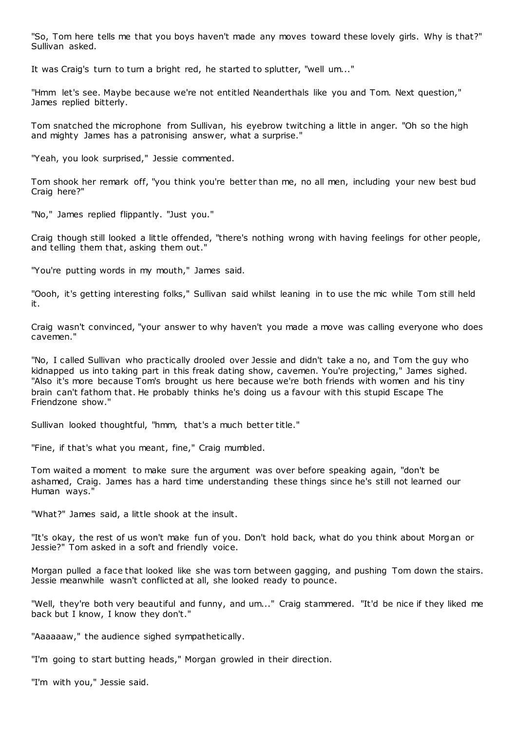"So, Tom here tells me that you boys haven't made any moves toward these lovely girls. Why is that?" Sullivan asked.

It was Craig's turn to turn a bright red, he started to splutter, "well um..."

"Hmm let's see. Maybe because we're not entitled Neanderthals like you and Tom. Next question," James replied bitterly.

Tom snatched the microphone from Sullivan, his eyebrow twitching a little in anger. "Oh so the high and mighty James has a patronising answer, what a surprise."

"Yeah, you look surprised," Jessie commented.

Tom shook her remark off, "you think you're better than me, no all men, including your new best bud Craig here?"

"No," James replied flippantly. "Just you."

Craig though still looked a little offended, "there's nothing wrong with having feelings for other people, and telling them that, asking them out."

"You're putting words in my mouth," James said.

"Oooh, it's getting interesting folks," Sullivan said whilst leaning in to use the mic while Tom still held it.

Craig wasn't convinced, "your answer to why haven't you made a move was calling everyone who does cavemen."

"No, I called Sullivan who practically drooled over Jessie and didn't take a no, and Tom the guy who kidnapped us into taking part in this freak dating show, cavemen. You're projecting," James sighed. "Also it's more because Tom's brought us here because we're both friends with women and his tiny brain can't fathom that. He probably thinks he's doing us a favour with this stupid Escape The Friendzone show."

Sullivan looked thoughtful, "hmm, that's a much better title."

"Fine, if that's what you meant, fine," Craig mumbled.

Tom waited a moment to make sure the argument was over before speaking again, "don't be ashamed, Craig. James has a hard time understanding these things since he's still not learned our Human ways."

"What?" James said, a little shook at the insult.

"It's okay, the rest of us won't make fun of you. Don't hold back, what do you think about Morgan or Jessie?" Tom asked in a soft and friendly voice.

Morgan pulled a face that looked like she was torn between gagging, and pushing Tom down the stairs. Jessie meanwhile wasn't conflicted at all, she looked ready to pounce.

"Well, they're both very beautiful and funny, and um..." Craig stammered. "It'd be nice if they liked me back but I know, I know they don't."

"Aaaaaaw," the audience sighed sympathetically.

"I'm going to start butting heads," Morgan growled in their direction.

"I'm with you," Jessie said.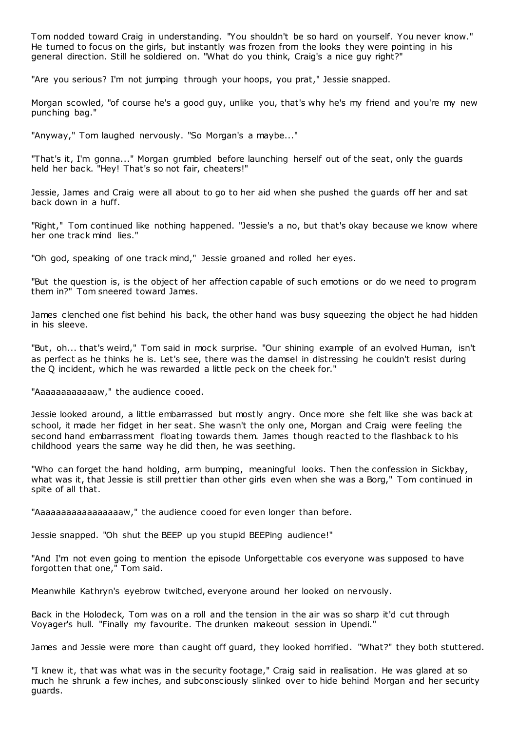Tom nodded toward Craig in understanding. "You shouldn't be so hard on yourself. You never know." He turned to focus on the girls, but instantly was frozen from the looks they were pointing in his general direction. Still he soldiered on. "What do you think, Craig's a nice guy right?"

"Are you serious? I'm not jumping through your hoops, you prat," Jessie snapped.

Morgan scowled, "of course he's a good guy, unlike you, that's why he's my friend and you're my new punching bag."

"Anyway," Tom laughed nervously. "So Morgan's a maybe..."

"That's it, I'm gonna..." Morgan grumbled before launching herself out of the seat, only the guards held her back. "Hey! That's so not fair, cheaters!"

Jessie, James and Craig were all about to go to her aid when she pushed the guards off her and sat back down in a huff.

"Right," Tom continued like nothing happened. "Jessie's a no, but that's okay because we know where her one track mind lies."

"Oh god, speaking of one track mind," Jessie groaned and rolled her eyes.

"But the question is, is the object of her affection capable of such emotions or do we need to program them in?" Tom sneered toward James.

James clenched one fist behind his back, the other hand was busy squeezing the object he had hidden in his sleeve.

"But, oh... that's weird," Tom said in mock surprise. "Our shining example of an evolved Human, isn't as perfect as he thinks he is. Let's see, there was the damsel in distressing he couldn't resist during the Q incident, which he was rewarded a little peck on the cheek for."

"Aaaaaaaaaaaaw," the audience cooed.

Jessie looked around, a little embarrassed but mostly angry. Once more she felt like she was back at school, it made her fidget in her seat. She wasn't the only one, Morgan and Craig were feeling the second hand embarrassment floating towards them. James though reacted to the flashback to his childhood years the same way he did then, he was seething.

"Who can forget the hand holding, arm bumping, meaningful looks. Then the confession in Sickbay, what was it, that Jessie is still prettier than other girls even when she was a Borg," Tom continued in spite of all that.

"Aaaaaaaaaaaaaaaaaaaw," the audience cooed for even longer than before.

Jessie snapped. "Oh shut the BEEP up you stupid BEEPing audience!"

"And I'm not even going to mention the episode Unforgettable cos everyone was supposed to have forgotten that one," Tom said.

Meanwhile Kathryn's eyebrow twitched, everyone around her looked on nervously.

Back in the Holodeck, Tom was on a roll and the tension in the air was so sharp it'd cut through Voyager's hull. "Finally my favourite. The drunken makeout session in Upendi."

James and Jessie were more than caught off guard, they looked horrified. "What?" they both stuttered.

"I knew it, that was what was in the security footage," Craig said in realisation. He was glared at so much he shrunk a few inches, and subconsciously slinked over to hide behind Morgan and her security guards.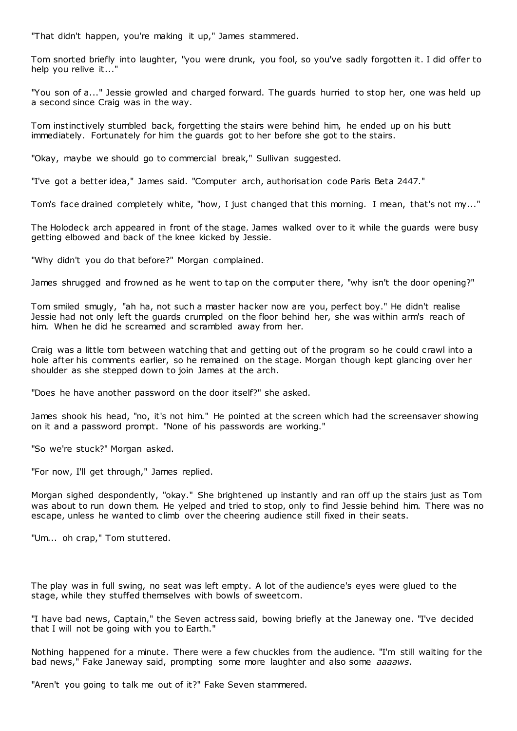"That didn't happen, you're making it up," James stammered.

Tom snorted briefly into laughter, "you were drunk, you fool, so you've sadly forgotten it. I did offer to help you relive it...

"You son of a..." Jessie growled and charged forward. The guards hurried to stop her, one was held up a second since Craig was in the way.

Tom instinctively stumbled back, forgetting the stairs were behind him, he ended up on his butt immediately. Fortunately for him the guards got to her before she got to the stairs.

"Okay, maybe we should go to commercial break," Sullivan suggested.

"I've got a better idea," James said. "Computer arch, authorisation code Paris Beta 2447."

Tom's face drained completely white, "how, I just changed that this morning. I mean, that's not my..."

The Holodeck arch appeared in front of the stage. James walked over to it while the guards were busy getting elbowed and back of the knee kicked by Jessie.

"Why didn't you do that before?" Morgan complained.

James shrugged and frowned as he went to tap on the computer there, "why isn't the door opening?"

Tom smiled smugly, "ah ha, not such a master hacker now are you, perfect boy." He didn't realise Jessie had not only left the guards crumpled on the floor behind her, she was within arm's reach of him. When he did he screamed and scrambled away from her.

Craig was a little torn between watching that and getting out of the program so he could crawl into a hole after his comments earlier, so he remained on the stage. Morgan though kept glancing over her shoulder as she stepped down to join James at the arch.

"Does he have another password on the door itself?" she asked.

James shook his head, "no, it's not him." He pointed at the screen which had the screensaver showing on it and a password prompt. "None of his passwords are working."

"So we're stuck?" Morgan asked.

"For now, I'll get through," James replied.

Morgan sighed despondently, "okay." She brightened up instantly and ran off up the stairs just as Tom was about to run down them. He yelped and tried to stop, only to find Jessie behind him. There was no escape, unless he wanted to climb over the cheering audience still fixed in their seats.

"Um... oh crap," Tom stuttered.

The play was in full swing, no seat was left empty. A lot of the audience's eyes were glued to the stage, while they stuffed themselves with bowls of sweetcorn.

"I have bad news, Captain," the Seven actress said, bowing briefly at the Janeway one. "I've decided that I will not be going with you to Earth."

Nothing happened for a minute. There were a few chuckles from the audience. "I'm still waiting for the bad news," Fake Janeway said, prompting some more laughter and also some *aaaaws*.

"Aren't you going to talk me out of it?" Fake Seven stammered.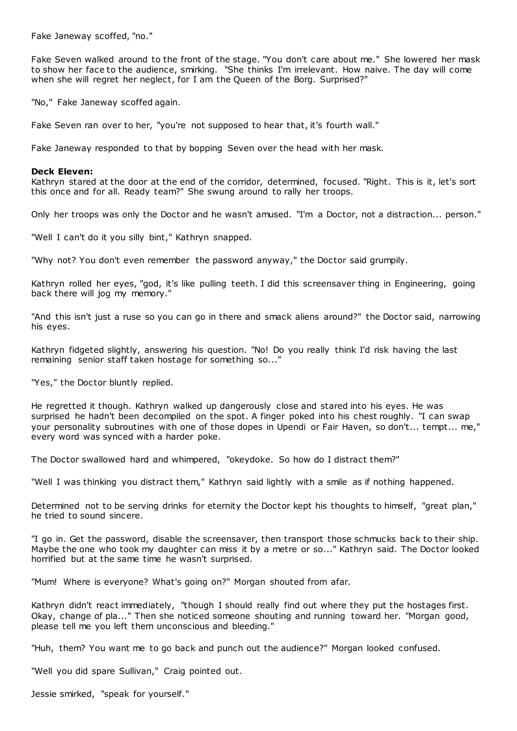Fake Janeway scoffed, "no."

Fake Seven walked around to the front of the stage. "You don't care about me." She lowered her mask to show her face to the audience, smirking. "She thinks I'm irrelevant. How naive. The day will come when she will regret her neglect, for I am the Queen of the Borg. Surprised?"

"No," Fake Janeway scoffed again.

Fake Seven ran over to her, "you're not supposed to hear that, it's fourth wall."

Fake Janeway responded to that by bopping Seven over the head with her mask.

#### **Deck Eleven:**

Kathryn stared at the door at the end of the corridor, determined, focused. "Right. This is it, let's sort this once and for all. Ready team?" She swung around to rally her troops.

Only her troops was only the Doctor and he wasn't amused. "I'm a Doctor, not a distraction... person."

"Well I can't do it you silly bint," Kathryn snapped.

"Why not? You don't even remember the password anyway," the Doctor said grumpily.

Kathryn rolled her eyes, "god, it's like pulling teeth. I did this screensaver thing in Engineering, going back there will jog my memory."

"And this isn't just a ruse so you can go in there and smack aliens around?" the Doctor said, narrowing his eyes.

Kathryn fidgeted slightly, answering his question. "No! Do you really think I'd risk having the last remaining senior staff taken hostage for something so..."

"Yes," the Doctor bluntly replied.

He regretted it though. Kathryn walked up dangerously close and stared into his eyes. He was surprised he hadn't been decompiled on the spot. A finger poked into his chest roughly. "I can swap your personality subroutines with one of those dopes in Upendi or Fair Haven, so don't... tempt... me," every word was synced with a harder poke.

The Doctor swallowed hard and whimpered, "okeydoke. So how do I distract them?"

"Well I was thinking you distract them," Kathryn said lightly with a smile as if nothing happened.

Determined not to be serving drinks for eternity the Doctor kept his thoughts to himself, "great plan," he tried to sound sincere.

"I go in. Get the password, disable the screensaver, then transport those schmucks back to their ship. Maybe the one who took my daughter can miss it by a metre or so..." Kathryn said. The Doctor looked horrified but at the same time he wasn't surprised.

"Mum! Where is everyone? What's going on?" Morgan shouted from afar.

Kathryn didn't react immediately, "though I should really find out where they put the hostages first. Okay, change of pla..." Then she noticed someone shouting and running toward her. "Morgan good, please tell me you left them unconscious and bleeding."

"Huh, them? You want me to go back and punch out the audience?" Morgan looked confused.

"Well you did spare Sullivan," Craig pointed out.

Jessie smirked, "speak for yourself."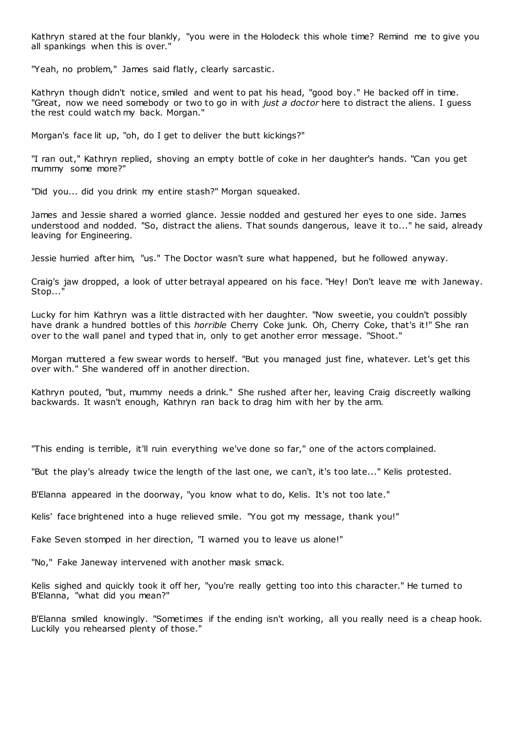Kathryn stared at the four blankly, "you were in the Holodeck this whole time? Remind me to give you all spankings when this is over."

"Yeah, no problem," James said flatly, clearly sarcastic .

Kathryn though didn't notice, smiled and went to pat his head, "good boy." He backed off in time. "Great, now we need somebody or two to go in with *just a doctor* here to distract the aliens. I guess the rest could watch my back. Morgan."

Morgan's face lit up, "oh, do I get to deliver the butt kickings?"

"I ran out," Kathryn replied, shoving an empty bottle of coke in her daughter's hands. "Can you get mummy some more?"

"Did you... did you drink my entire stash?" Morgan squeaked.

James and Jessie shared a worried glance. Jessie nodded and gestured her eyes to one side. James understood and nodded. "So, distract the aliens. That sounds dangerous, leave it to..." he said, already leaving for Engineering.

Jessie hurried after him, "us." The Doctor wasn't sure what happened, but he followed anyway.

Craig's jaw dropped, a look of utter betrayal appeared on his face. "Hey! Don't leave me with Janeway. Stop...'

Lucky for him Kathryn was a little distracted with her daughter. "Now sweetie, you couldn't possibly have drank a hundred bottles of this *horrible* Cherry Coke junk. Oh, Cherry Coke, that's it!" She ran over to the wall panel and typed that in, only to get another error message. "Shoot."

Morgan muttered a few swear words to herself. "But you managed just fine, whatever. Let's get this over with." She wandered off in another direction.

Kathryn pouted, "but, mummy needs a drink." She rushed after her, leaving Craig discreetly walking backwards. It wasn't enough, Kathryn ran back to drag him with her by the arm.

"This ending is terrible, it'll ruin everything we've done so far," one of the actors complained.

"But the play's already twice the length of the last one, we can't, it's too late..." Kelis protested.

B'Elanna appeared in the doorway, "you know what to do, Kelis. It's not too late."

Kelis' face brightened into a huge relieved smile. "You got my message, thank you!"

Fake Seven stomped in her direction, "I warned you to leave us alone!"

"No," Fake Janeway intervened with another mask smack.

Kelis sighed and quickly took it off her, "you're really getting too into this character." He turned to B'Elanna, "what did you mean?"

B'Elanna smiled knowingly. "Sometimes if the ending isn't working, all you really need is a cheap hook. Luckily you rehearsed plenty of those."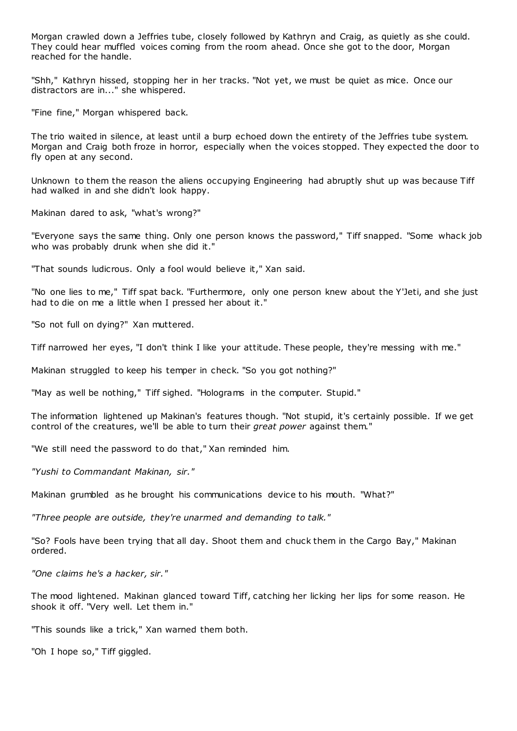Morgan crawled down a Jeffries tube, closely followed by Kathryn and Craig, as quietly as she could. They could hear muffled voices coming from the room ahead. Once she got to the door, Morgan reached for the handle.

"Shh," Kathryn hissed, stopping her in her tracks. "Not yet, we must be quiet as mice. Once our distractors are in..." she whispered.

"Fine fine," Morgan whispered back.

The trio waited in silence, at least until a burp echoed down the entirety of the Jeffries tube system. Morgan and Craig both froze in horror, especially when the voices stopped. They expected the door to fly open at any second.

Unknown to them the reason the aliens occupying Engineering had abruptly shut up was because Tiff had walked in and she didn't look happy.

Makinan dared to ask, "what's wrong?"

"Everyone says the same thing. Only one person knows the password," Tiff snapped. "Some whack job who was probably drunk when she did it."

"That sounds ludicrous. Only a fool would believe it," Xan said.

"No one lies to me," Tiff spat back. "Furthermore, only one person knew about the Y'Jeti, and she just had to die on me a little when I pressed her about it."

"So not full on dying?" Xan muttered.

Tiff narrowed her eyes, "I don't think I like your attitude. These people, they're messing with me."

Makinan struggled to keep his temper in check. "So you got nothing?"

"May as well be nothing," Tiff sighed. "Holograms in the computer. Stupid."

The information lightened up Makinan's features though. "Not stupid, it's certainly possible. If we get control of the creatures, we'll be able to turn their *great power* against them."

"We still need the password to do that," Xan reminded him.

*"Yushi to Commandant Makinan, sir."*

Makinan grumbled as he brought his communications device to his mouth. "What?"

*"Three people are outside, they're unarmed and demanding to talk."*

"So? Fools have been trying that all day. Shoot them and chuck them in the Cargo Bay," Makinan ordered.

*"One claims he's a hacker, sir."*

The mood lightened. Makinan glanced toward Tiff, catching her licking her lips for some reason. He shook it off. "Very well. Let them in."

"This sounds like a trick," Xan warned them both.

"Oh I hope so," Tiff giggled.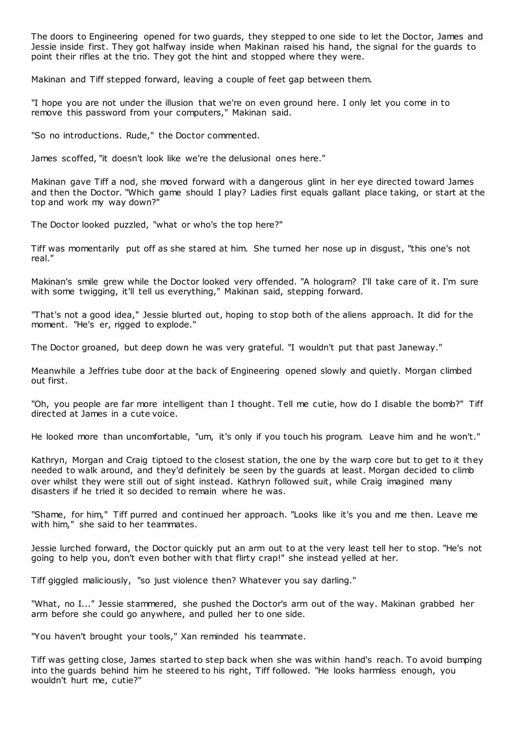The doors to Engineering opened for two guards, they stepped to one side to let the Doctor, James and Jessie inside first. They got halfway inside when Makinan raised his hand, the signal for the guards to point their rifles at the trio. They got the hint and stopped where they were.

Makinan and Tiff stepped forward, leaving a couple of feet gap between them.

"I hope you are not under the illusion that we're on even ground here. I only let you come in to remove this password from your computers," Makinan said.

"So no introductions. Rude," the Doctor commented.

James scoffed, "it doesn't look like we're the delusional ones here."

Makinan gave Tiff a nod, she moved forward with a dangerous glint in her eye directed toward James and then the Doctor. "Which game should I play? Ladies first equals gallant place taking, or start at the top and work my way down?"

The Doctor looked puzzled, "what or who's the top here?"

Tiff was momentarily put off as she stared at him. She turned her nose up in disgust, "this one's not real."

Makinan's smile grew while the Doctor looked very offended. "A hologram? I'll take care of it. I'm sure with some twigging, it'll tell us everything," Makinan said, stepping forward.

"That's not a good idea," Jessie blurted out, hoping to stop both of the aliens approach. It did for the moment. "He's er, rigged to explode."

The Doctor groaned, but deep down he was very grateful. "I wouldn't put that past Janeway."

Meanwhile a Jeffries tube door at the back of Engineering opened slowly and quietly. Morgan climbed out first.

"Oh, you people are far more intelligent than I thought. Tell me cutie, how do I disable the bomb?" Tiff directed at James in a cute voice.

He looked more than uncomfortable, "um, it's only if you touch his program. Leave him and he won't."

Kathryn, Morgan and Craig tiptoed to the closest station, the one by the warp core but to get to it they needed to walk around, and they'd definitely be seen by the guards at least. Morgan decided to climb over whilst they were still out of sight instead. Kathryn followed suit, while Craig imagined many disasters if he tried it so decided to remain where he was.

"Shame, for him," Tiff purred and continued her approach. "Looks like it's you and me then. Leave me with him," she said to her teammates.

Jessie lurched forward, the Doctor quickly put an arm out to at the very least tell her to stop. "He's not going to help you, don't even bother with that flirty crap!" she instead yelled at her.

Tiff giggled maliciously, "so just violence then? Whatever you say darling."

"What, no I..." Jessie stammered, she pushed the Doctor's arm out of the way. Makinan grabbed her arm before she could go anywhere, and pulled her to one side.

"You haven't brought your tools," Xan reminded his teammate.

Tiff was getting close, James started to step back when she was within hand's reach. To avoid bumping into the guards behind him he steered to his right, Tiff followed. "He looks harmless enough, you wouldn't hurt me, cutie?"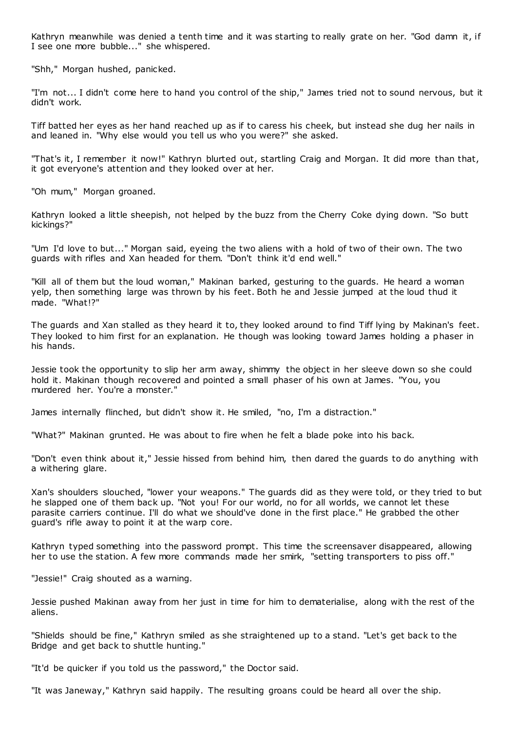Kathryn meanwhile was denied a tenth time and it was starting to really grate on her. "God damn it, if I see one more bubble..." she whispered.

"Shh," Morgan hushed, panicked.

"I'm not... I didn't come here to hand you control of the ship," James tried not to sound nervous, but it didn't work.

Tiff batted her eyes as her hand reached up as if to caress his cheek, but instead she dug her nails in and leaned in. "Why else would you tell us who you were?" she asked.

"That's it, I remember it now!" Kathryn blurted out, startling Craig and Morgan. It did more than that, it got everyone's attention and they looked over at her.

"Oh mum," Morgan groaned.

Kathryn looked a little sheepish, not helped by the buzz from the Cherry Coke dying down. "So butt kickings?"

"Um I'd love to but..." Morgan said, eyeing the two aliens with a hold of two of their own. The two guards with rifles and Xan headed for them. "Don't think it'd end well."

"Kill all of them but the loud woman," Makinan barked, gesturing to the guards. He heard a woman yelp, then something large was thrown by his feet. Both he and Jessie jumped at the loud thud it made. "What!?"

The guards and Xan stalled as they heard it to, they looked around to find Tiff lying by Makinan's feet. They looked to him first for an explanation. He though was looking toward James holding a phaser in his hands.

Jessie took the opportunity to slip her arm away, shimmy the object in her sleeve down so she could hold it. Makinan though recovered and pointed a small phaser of his own at James. "You, you murdered her. You're a monster."

James internally flinched, but didn't show it. He smiled, "no, I'm a distraction."

"What?" Makinan grunted. He was about to fire when he felt a blade poke into his back.

"Don't even think about it," Jessie hissed from behind him, then dared the guards to do anything with a withering glare.

Xan's shoulders slouched, "lower your weapons." The guards did as they were told, or they tried to but he slapped one of them back up. "Not you! For our world, no for all worlds, we cannot let these parasite carriers continue. I'll do what we should've done in the first place." He grabbed the other guard's rifle away to point it at the warp core.

Kathryn typed something into the password prompt. This time the screensaver disappeared, allowing her to use the station. A few more commands made her smirk, "setting transporters to piss off."

"Jessie!" Craig shouted as a warning.

Jessie pushed Makinan away from her just in time for him to dematerialise, along with the rest of the aliens.

"Shields should be fine," Kathryn smiled as she straightened up to a stand. "Let's get back to the Bridge and get back to shuttle hunting."

"It'd be quicker if you told us the password," the Doctor said.

"It was Janeway," Kathryn said happily. The resulting groans could be heard all over the ship.